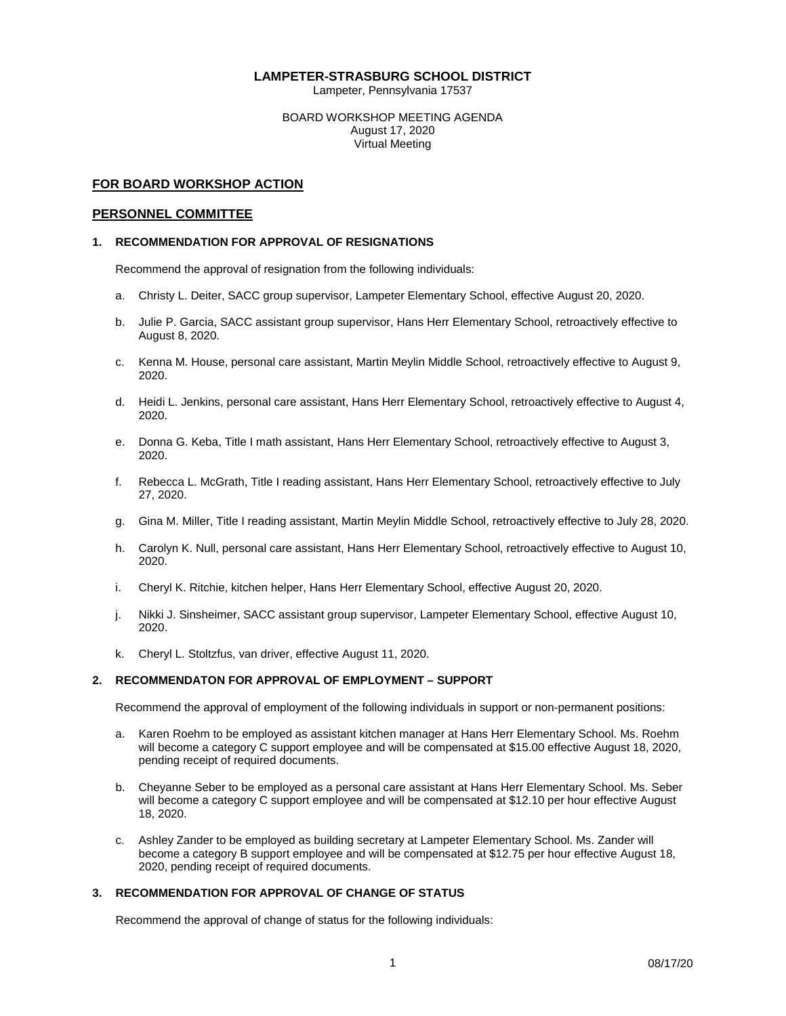### **LAMPETER-STRASBURG SCHOOL DISTRICT**

Lampeter, Pennsylvania 17537

BOARD WORKSHOP MEETING AGENDA August 17, 2020 Virtual Meeting

### **FOR BOARD WORKSHOP ACTION**

#### **PERSONNEL COMMITTEE**

### **1. RECOMMENDATION FOR APPROVAL OF RESIGNATIONS**

Recommend the approval of resignation from the following individuals:

- a. Christy L. Deiter, SACC group supervisor, Lampeter Elementary School, effective August 20, 2020.
- b. Julie P. Garcia, SACC assistant group supervisor, Hans Herr Elementary School, retroactively effective to August 8, 2020.
- c. Kenna M. House, personal care assistant, Martin Meylin Middle School, retroactively effective to August 9, 2020.
- d. Heidi L. Jenkins, personal care assistant, Hans Herr Elementary School, retroactively effective to August 4, 2020.
- e. Donna G. Keba, Title I math assistant, Hans Herr Elementary School, retroactively effective to August 3, 2020.
- f. Rebecca L. McGrath, Title I reading assistant, Hans Herr Elementary School, retroactively effective to July 27, 2020.
- g. Gina M. Miller, Title I reading assistant, Martin Meylin Middle School, retroactively effective to July 28, 2020.
- h. Carolyn K. Null, personal care assistant, Hans Herr Elementary School, retroactively effective to August 10, 2020.
- i. Cheryl K. Ritchie, kitchen helper, Hans Herr Elementary School, effective August 20, 2020.
- j. Nikki J. Sinsheimer, SACC assistant group supervisor, Lampeter Elementary School, effective August 10, 2020.
- k. Cheryl L. Stoltzfus, van driver, effective August 11, 2020.

### **2. RECOMMENDATON FOR APPROVAL OF EMPLOYMENT – SUPPORT**

Recommend the approval of employment of the following individuals in support or non-permanent positions:

- a. Karen Roehm to be employed as assistant kitchen manager at Hans Herr Elementary School. Ms. Roehm will become a category C support employee and will be compensated at \$15.00 effective August 18, 2020, pending receipt of required documents.
- b. Cheyanne Seber to be employed as a personal care assistant at Hans Herr Elementary School. Ms. Seber will become a category C support employee and will be compensated at \$12.10 per hour effective August 18, 2020.
- c. Ashley Zander to be employed as building secretary at Lampeter Elementary School. Ms. Zander will become a category B support employee and will be compensated at \$12.75 per hour effective August 18, 2020, pending receipt of required documents.

### **3. RECOMMENDATION FOR APPROVAL OF CHANGE OF STATUS**

Recommend the approval of change of status for the following individuals: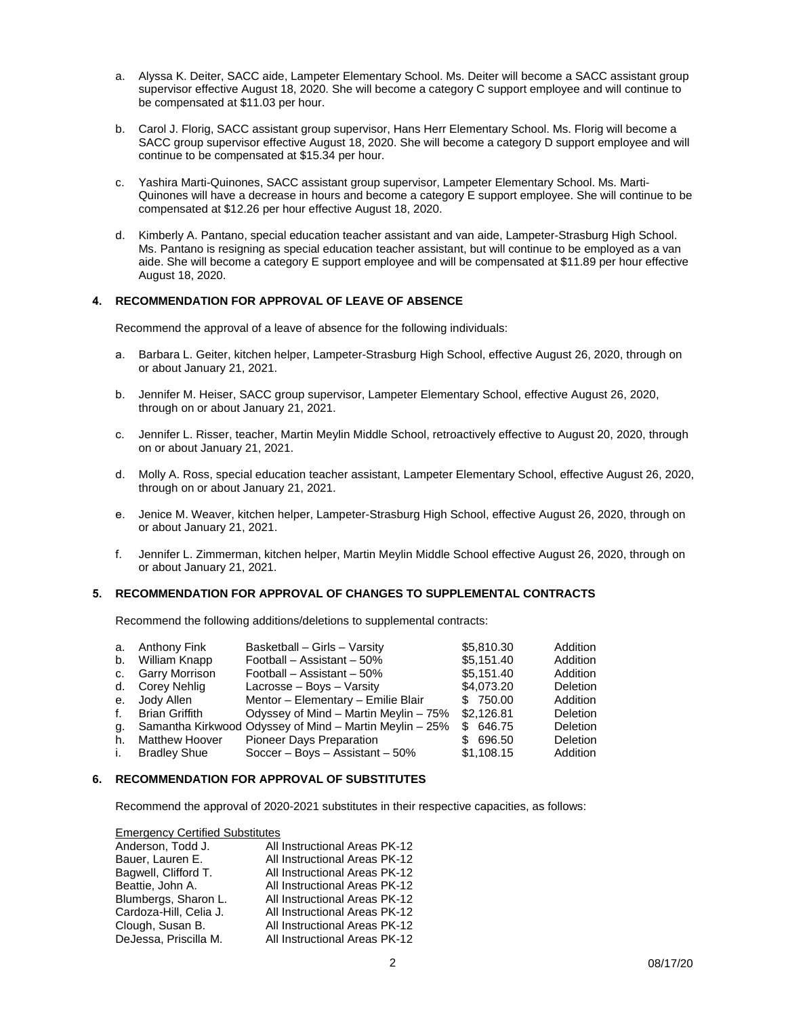- a. Alyssa K. Deiter, SACC aide, Lampeter Elementary School. Ms. Deiter will become a SACC assistant group supervisor effective August 18, 2020. She will become a category C support employee and will continue to be compensated at \$11.03 per hour.
- b. Carol J. Florig, SACC assistant group supervisor, Hans Herr Elementary School. Ms. Florig will become a SACC group supervisor effective August 18, 2020. She will become a category D support employee and will continue to be compensated at \$15.34 per hour.
- c. Yashira Marti-Quinones, SACC assistant group supervisor, Lampeter Elementary School. Ms. Marti-Quinones will have a decrease in hours and become a category E support employee. She will continue to be compensated at \$12.26 per hour effective August 18, 2020.
- d. Kimberly A. Pantano, special education teacher assistant and van aide, Lampeter-Strasburg High School. Ms. Pantano is resigning as special education teacher assistant, but will continue to be employed as a van aide. She will become a category E support employee and will be compensated at \$11.89 per hour effective August 18, 2020.

### **4. RECOMMENDATION FOR APPROVAL OF LEAVE OF ABSENCE**

Recommend the approval of a leave of absence for the following individuals:

- a. Barbara L. Geiter, kitchen helper, Lampeter-Strasburg High School, effective August 26, 2020, through on or about January 21, 2021.
- b. Jennifer M. Heiser, SACC group supervisor, Lampeter Elementary School, effective August 26, 2020, through on or about January 21, 2021.
- c. Jennifer L. Risser, teacher, Martin Meylin Middle School, retroactively effective to August 20, 2020, through on or about January 21, 2021.
- d. Molly A. Ross, special education teacher assistant, Lampeter Elementary School, effective August 26, 2020, through on or about January 21, 2021.
- e. Jenice M. Weaver, kitchen helper, Lampeter-Strasburg High School, effective August 26, 2020, through on or about January 21, 2021.
- f. Jennifer L. Zimmerman, kitchen helper, Martin Meylin Middle School effective August 26, 2020, through on or about January 21, 2021.

### **5. RECOMMENDATION FOR APPROVAL OF CHANGES TO SUPPLEMENTAL CONTRACTS**

Recommend the following additions/deletions to supplemental contracts:

| \$5,151.40<br>Football - Assistant - 50%<br>William Knapp<br>b.<br>\$5.151.40<br>c. Garry Morrison<br>Football - Assistant - 50%<br>\$4,073.20<br>d. Corey Nehlig<br>Lacrosse – Boys – Varsity<br>Mentor - Elementary - Emilie Blair<br>\$ 750.00<br>e. Jody Allen<br>Odyssey of Mind - Martin Meylin - 75%<br>\$2,126.81<br><b>Brian Griffith</b><br>f.<br>Samantha Kirkwood Odyssey of Mind - Martin Meylin - 25%<br>\$646.75<br>a.<br>Pioneer Days Preparation<br><b>Matthew Hoover</b><br>696.50<br>h.<br>SS. |              | a. Anthony Fink     | Basketball - Girls - Varsity      | \$5,810.30 | Addition |
|-------------------------------------------------------------------------------------------------------------------------------------------------------------------------------------------------------------------------------------------------------------------------------------------------------------------------------------------------------------------------------------------------------------------------------------------------------------------------------------------------------------------|--------------|---------------------|-----------------------------------|------------|----------|
|                                                                                                                                                                                                                                                                                                                                                                                                                                                                                                                   |              |                     |                                   |            | Addition |
|                                                                                                                                                                                                                                                                                                                                                                                                                                                                                                                   |              |                     |                                   |            | Addition |
|                                                                                                                                                                                                                                                                                                                                                                                                                                                                                                                   |              |                     |                                   |            | Deletion |
|                                                                                                                                                                                                                                                                                                                                                                                                                                                                                                                   |              |                     |                                   |            | Addition |
|                                                                                                                                                                                                                                                                                                                                                                                                                                                                                                                   |              |                     |                                   |            | Deletion |
|                                                                                                                                                                                                                                                                                                                                                                                                                                                                                                                   |              |                     |                                   |            | Deletion |
|                                                                                                                                                                                                                                                                                                                                                                                                                                                                                                                   |              |                     |                                   |            | Deletion |
|                                                                                                                                                                                                                                                                                                                                                                                                                                                                                                                   | $\mathbf{L}$ | <b>Bradley Shue</b> | Soccer - Boys - Assistant $-50\%$ | \$1,108.15 | Addition |

#### **6. RECOMMENDATION FOR APPROVAL OF SUBSTITUTES**

Recommend the approval of 2020-2021 substitutes in their respective capacities, as follows:

Emergency Certified Substitutes

| Anderson, Todd J.      | All Instructional Areas PK-12 |
|------------------------|-------------------------------|
| Bauer, Lauren E.       | All Instructional Areas PK-12 |
| Bagwell, Clifford T.   | All Instructional Areas PK-12 |
| Beattie, John A.       | All Instructional Areas PK-12 |
| Blumbergs, Sharon L.   | All Instructional Areas PK-12 |
| Cardoza-Hill, Celia J. | All Instructional Areas PK-12 |
| Clough, Susan B.       | All Instructional Areas PK-12 |
| DeJessa, Priscilla M.  | All Instructional Areas PK-12 |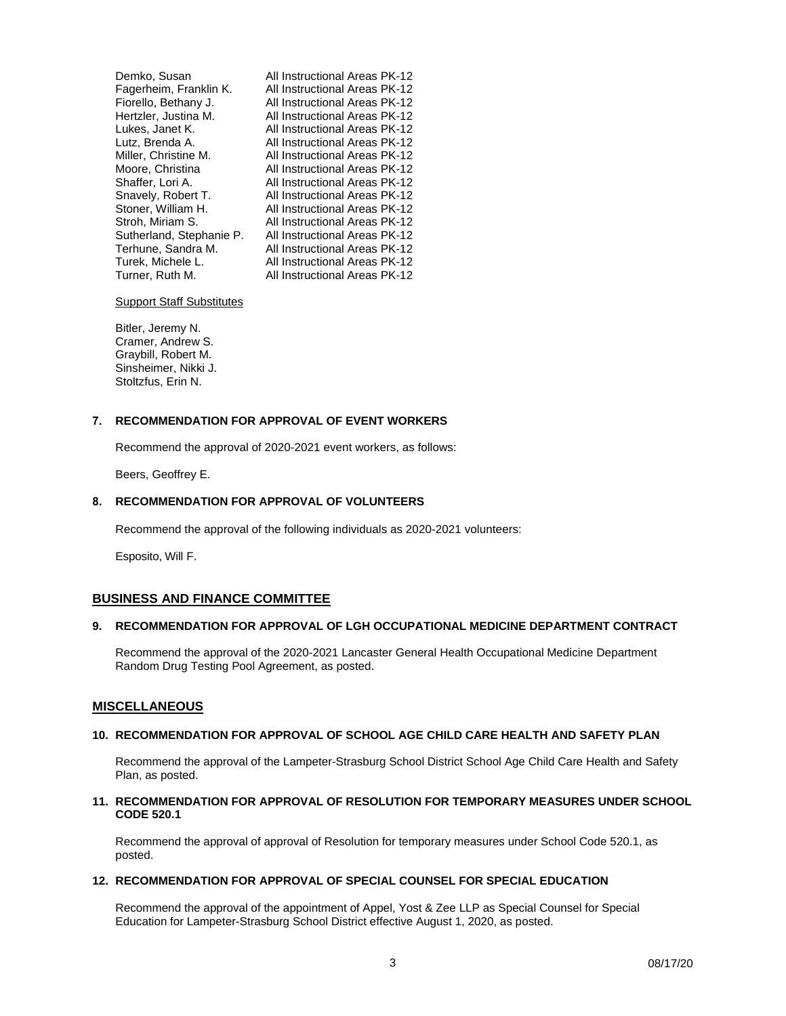| All Instructional Areas PK-12 |
|-------------------------------|
| All Instructional Areas PK-12 |
| All Instructional Areas PK-12 |
| All Instructional Areas PK-12 |
| All Instructional Areas PK-12 |
| All Instructional Areas PK-12 |
| All Instructional Areas PK-12 |
| All Instructional Areas PK-12 |
| All Instructional Areas PK-12 |
| All Instructional Areas PK-12 |
| All Instructional Areas PK-12 |
| All Instructional Areas PK-12 |
| All Instructional Areas PK-12 |
| All Instructional Areas PK-12 |
| All Instructional Areas PK-12 |
| All Instructional Areas PK-12 |
|                               |

Support Staff Substitutes

Bitler, Jeremy N. Cramer, Andrew S. Graybill, Robert M. Sinsheimer, Nikki J. Stoltzfus, Erin N.

### **7. RECOMMENDATION FOR APPROVAL OF EVENT WORKERS**

Recommend the approval of 2020-2021 event workers, as follows:

Beers, Geoffrey E.

### **8. RECOMMENDATION FOR APPROVAL OF VOLUNTEERS**

Recommend the approval of the following individuals as 2020-2021 volunteers:

Esposito, Will F.

### **BUSINESS AND FINANCE COMMITTEE**

#### **9. RECOMMENDATION FOR APPROVAL OF LGH OCCUPATIONAL MEDICINE DEPARTMENT CONTRACT**

Recommend the approval of the 2020-2021 Lancaster General Health Occupational Medicine Department Random Drug Testing Pool Agreement, as posted.

#### **MISCELLANEOUS**

#### **10. RECOMMENDATION FOR APPROVAL OF SCHOOL AGE CHILD CARE HEALTH AND SAFETY PLAN**

Recommend the approval of the Lampeter-Strasburg School District School Age Child Care Health and Safety Plan, as posted.

### **11. RECOMMENDATION FOR APPROVAL OF RESOLUTION FOR TEMPORARY MEASURES UNDER SCHOOL CODE 520.1**

Recommend the approval of approval of Resolution for temporary measures under School Code 520.1, as posted.

#### **12. RECOMMENDATION FOR APPROVAL OF SPECIAL COUNSEL FOR SPECIAL EDUCATION**

Recommend the approval of the appointment of Appel, Yost & Zee LLP as Special Counsel for Special Education for Lampeter-Strasburg School District effective August 1, 2020, as posted.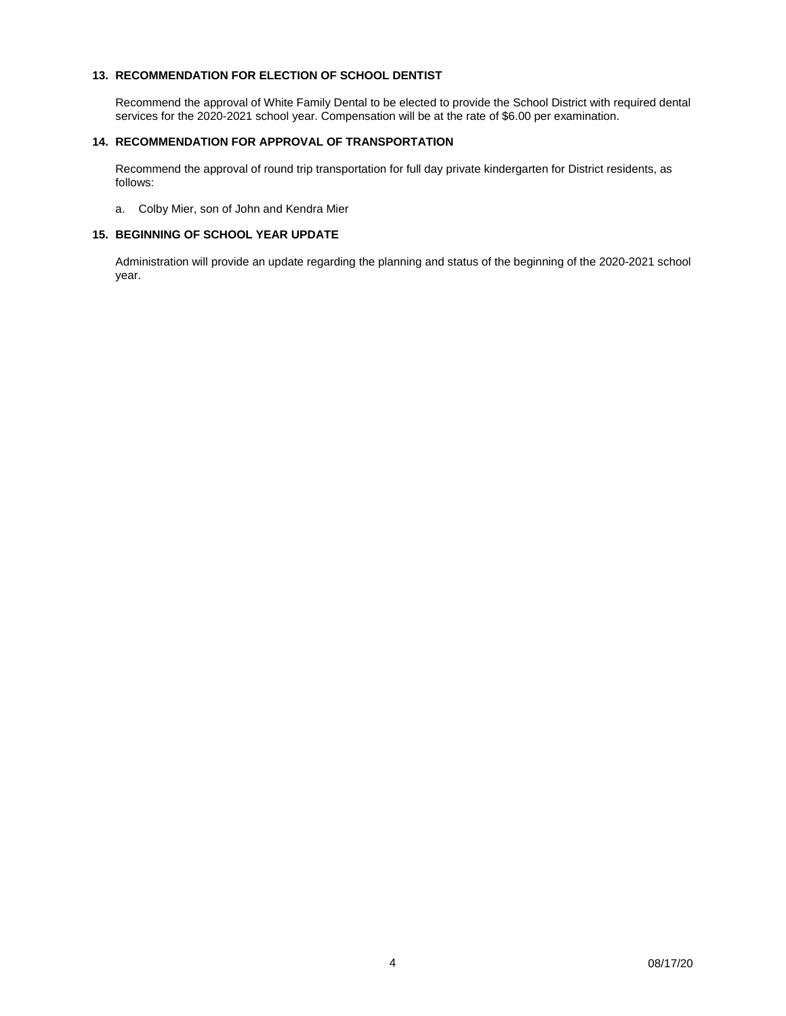### **13. RECOMMENDATION FOR ELECTION OF SCHOOL DENTIST**

Recommend the approval of White Family Dental to be elected to provide the School District with required dental services for the 2020-2021 school year. Compensation will be at the rate of \$6.00 per examination.

### **14. RECOMMENDATION FOR APPROVAL OF TRANSPORTATION**

Recommend the approval of round trip transportation for full day private kindergarten for District residents, as follows:

a. Colby Mier, son of John and Kendra Mier

### **15. BEGINNING OF SCHOOL YEAR UPDATE**

Administration will provide an update regarding the planning and status of the beginning of the 2020-2021 school year.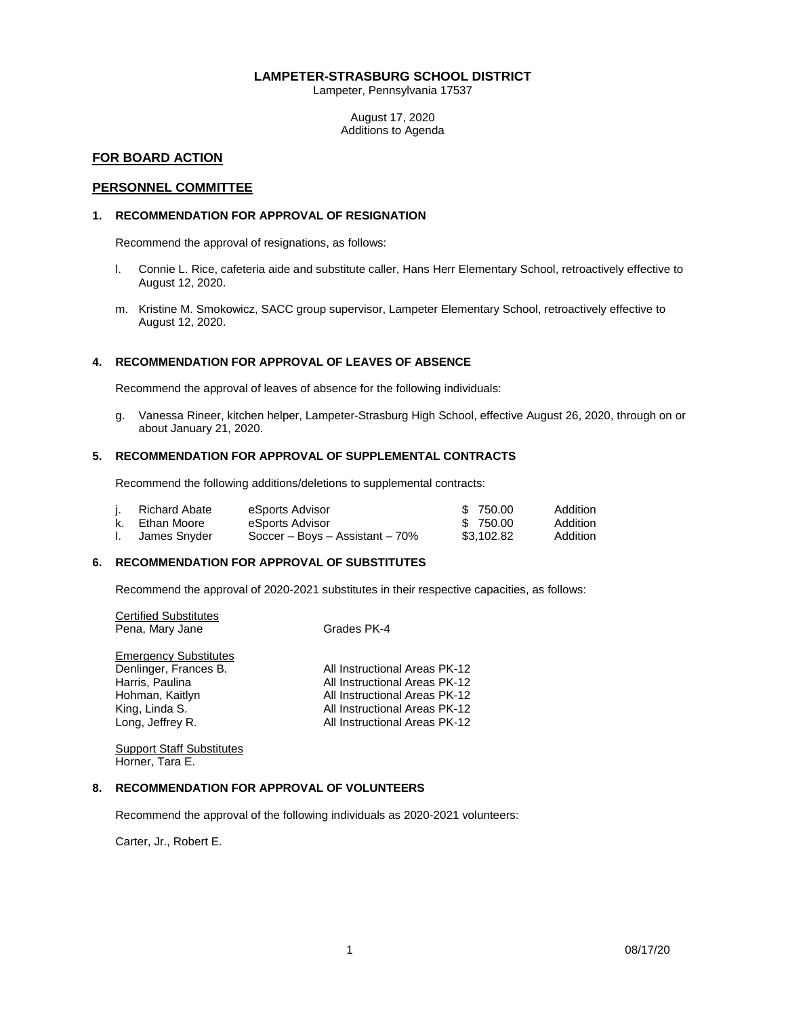### **LAMPETER-STRASBURG SCHOOL DISTRICT**

Lampeter, Pennsylvania 17537

August 17, 2020 Additions to Agenda

### **FOR BOARD ACTION**

### **PERSONNEL COMMITTEE**

### **1. RECOMMENDATION FOR APPROVAL OF RESIGNATION**

Recommend the approval of resignations, as follows:

- l. Connie L. Rice, cafeteria aide and substitute caller, Hans Herr Elementary School, retroactively effective to August 12, 2020.
- m. Kristine M. Smokowicz, SACC group supervisor, Lampeter Elementary School, retroactively effective to August 12, 2020.

### **4. RECOMMENDATION FOR APPROVAL OF LEAVES OF ABSENCE**

Recommend the approval of leaves of absence for the following individuals:

g. Vanessa Rineer, kitchen helper, Lampeter-Strasburg High School, effective August 26, 2020, through on or about January 21, 2020.

### **5. RECOMMENDATION FOR APPROVAL OF SUPPLEMENTAL CONTRACTS**

Recommend the following additions/deletions to supplemental contracts:

|    | Richard Abate  | eSports Advisor                    | \$750.00   | Addition |
|----|----------------|------------------------------------|------------|----------|
|    | k. Ethan Moore | eSports Advisor                    | \$750.00   | Addition |
| Ι. | James Snyder   | Soccer – Boys – Assistant – $70\%$ | \$3.102.82 | Addition |

#### **6. RECOMMENDATION FOR APPROVAL OF SUBSTITUTES**

Recommend the approval of 2020-2021 substitutes in their respective capacities, as follows:

Certified Substitutes Pena, Mary Jane Grades PK-4 **Emergency Substitutes**<br>Denlinger, Frances B. Denlinger, Frances B. All Instructional Areas PK-12<br>
Harris, Paulina and All Instructional Areas PK-12 Harris, Paulina All Instructional Areas PK-12<br>Hohman, Kaitlyn All Instructional Areas PK-12 Hohman, Kaitlyn **All Instructional Areas PK-12**<br>1991 - King, Linda S. All Instructional Areas PK-12 King, Linda S. All Instructional Areas PK-12<br>
Long, Jeffrey R. All Instructional Areas PK-12 All Instructional Areas PK-12

Support Staff Substitutes Horner, Tara E.

### **8. RECOMMENDATION FOR APPROVAL OF VOLUNTEERS**

Recommend the approval of the following individuals as 2020-2021 volunteers:

Carter, Jr., Robert E.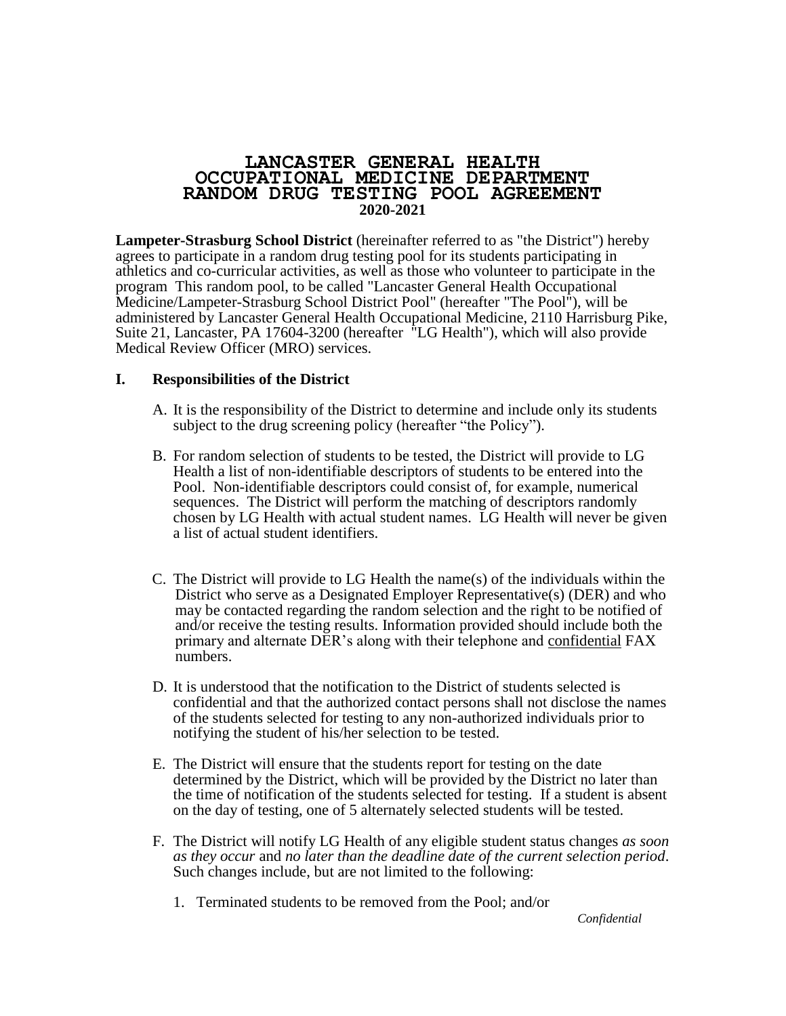# **LANCASTER GENERAL HEALTH OCCUPATIONAL MEDICINE DEPARTMENT RANDOM DRUG TESTING POOL AGREEMENT 2020-2021**

**Lampeter-Strasburg School District** (hereinafter referred to as "the District") hereby agrees to participate in a random drug testing pool for its students participating in athletics and co-curricular activities, as well as those who volunteer to participate in the program This random pool, to be called "Lancaster General Health Occupational Medicine/Lampeter-Strasburg School District Pool" (hereafter "The Pool"), will be administered by Lancaster General Health Occupational Medicine, 2110 Harrisburg Pike, Suite 21, Lancaster, PA 17604-3200 (hereafter "LG Health"), which will also provide Medical Review Officer (MRO) services.

# **I. Responsibilities of the District**

- A. It is the responsibility of the District to determine and include only its students subject to the drug screening policy (hereafter "the Policy").
- B. For random selection of students to be tested, the District will provide to LG Health a list of non-identifiable descriptors of students to be entered into the Pool. Non-identifiable descriptors could consist of, for example, numerical sequences. The District will perform the matching of descriptors randomly chosen by LG Health with actual student names. LG Health will never be given a list of actual student identifiers.
- C. The District will provide to LG Health the name(s) of the individuals within the District who serve as a Designated Employer Representative(s) (DER) and who may be contacted regarding the random selection and the right to be notified of and/or receive the testing results. Information provided should include both the primary and alternate DER's along with their telephone and confidential FAX numbers.
- D. It is understood that the notification to the District of students selected is confidential and that the authorized contact persons shall not disclose the names of the students selected for testing to any non-authorized individuals prior to notifying the student of his/her selection to be tested.
- E. The District will ensure that the students report for testing on the date determined by the District, which will be provided by the District no later than the time of notification of the students selected for testing. If a student is absent on the day of testing, one of 5 alternately selected students will be tested.
- F. The District will notify LG Health of any eligible student status changes *as soon as they occur* and *no later than the deadline date of the current selection period*. Such changes include, but are not limited to the following:
	- 1. Terminated students to be removed from the Pool; and/or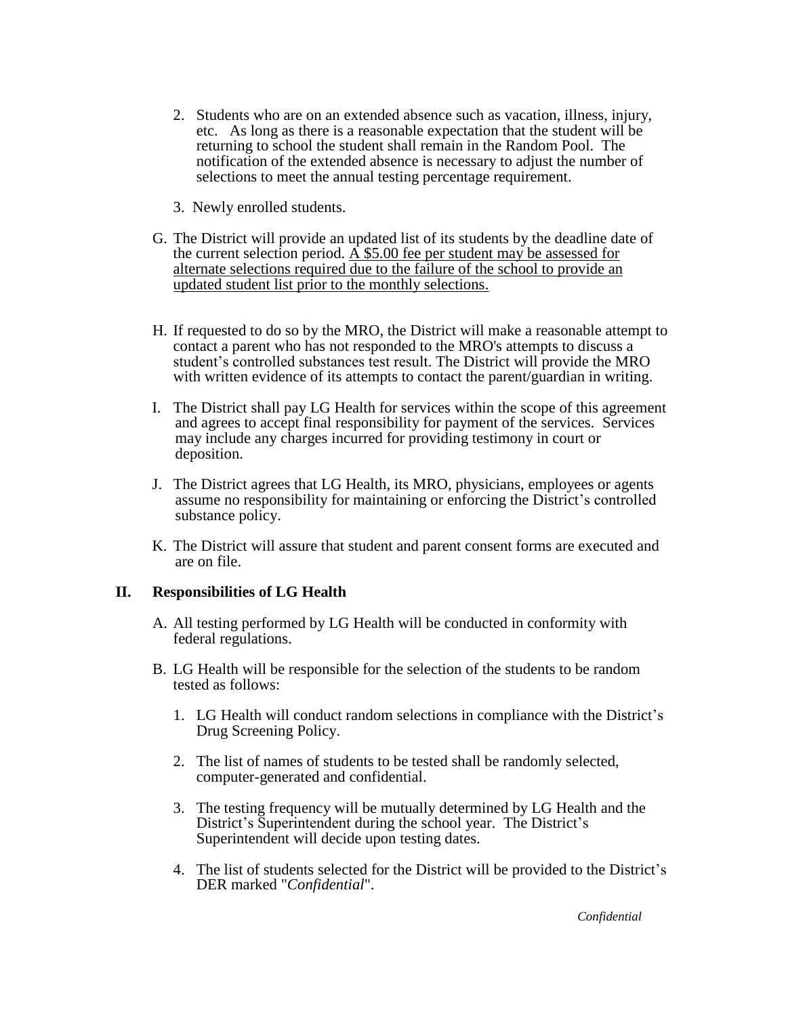- 2. Students who are on an extended absence such as vacation, illness, injury, etc. As long as there is a reasonable expectation that the student will be returning to school the student shall remain in the Random Pool. The notification of the extended absence is necessary to adjust the number of selections to meet the annual testing percentage requirement.
- 3. Newly enrolled students.
- G. The District will provide an updated list of its students by the deadline date of the current selection period.  $\overline{A}$  \$5.00 fee per student may be assessed for alternate selections required due to the failure of the school to provide an updated student list prior to the monthly selections.
- H. If requested to do so by the MRO, the District will make a reasonable attempt to contact a parent who has not responded to the MRO's attempts to discuss a student's controlled substances test result. The District will provide the MRO with written evidence of its attempts to contact the parent/guardian in writing.
- I. The District shall pay LG Health for services within the scope of this agreement and agrees to accept final responsibility for payment of the services. Services may include any charges incurred for providing testimony in court or deposition.
- J. The District agrees that LG Health, its MRO, physicians, employees or agents assume no responsibility for maintaining or enforcing the District's controlled substance policy.
- K. The District will assure that student and parent consent forms are executed and are on file.

# **II. Responsibilities of LG Health**

- A. All testing performed by LG Health will be conducted in conformity with federal regulations.
- B. LG Health will be responsible for the selection of the students to be random tested as follows:
	- 1. LG Health will conduct random selections in compliance with the District's Drug Screening Policy.
	- 2. The list of names of students to be tested shall be randomly selected, computer-generated and confidential.
	- 3. The testing frequency will be mutually determined by LG Health and the District's Superintendent during the school year. The District's Superintendent will decide upon testing dates.
	- 4. The list of students selected for the District will be provided to the District's DER marked "*Confidential*".

*Confidential*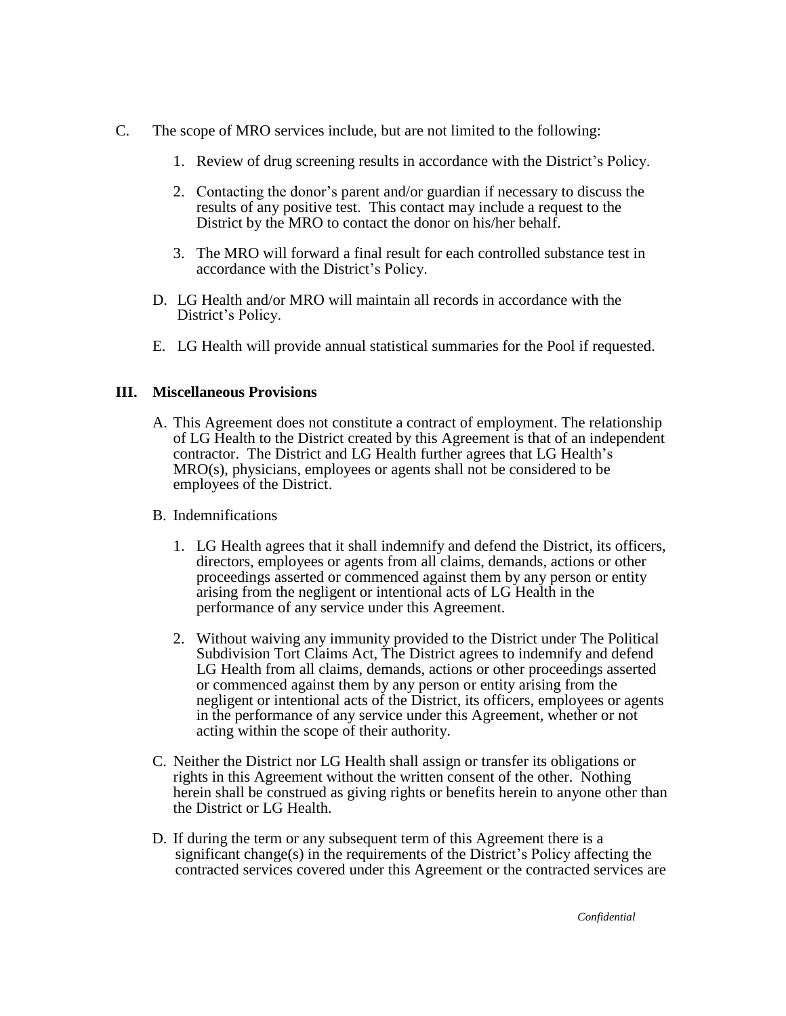- C. The scope of MRO services include, but are not limited to the following:
	- 1. Review of drug screening results in accordance with the District's Policy.
	- 2. Contacting the donor's parent and/or guardian if necessary to discuss the results of any positive test. This contact may include a request to the District by the MRO to contact the donor on his/her behalf.
	- 3. The MRO will forward a final result for each controlled substance test in accordance with the District's Policy.
	- D. LG Health and/or MRO will maintain all records in accordance with the District's Policy.
	- E. LG Health will provide annual statistical summaries for the Pool if requested.

# **III. Miscellaneous Provisions**

- A. This Agreement does not constitute a contract of employment. The relationship of LG Health to the District created by this Agreement is that of an independent contractor. The District and LG Health further agrees that LG Health's MRO(s), physicians, employees or agents shall not be considered to be employees of the District.
- B. Indemnifications
	- 1. LG Health agrees that it shall indemnify and defend the District, its officers, directors, employees or agents from all claims, demands, actions or other proceedings asserted or commenced against them by any person or entity arising from the negligent or intentional acts of LG Health in the performance of any service under this Agreement.
	- 2. Without waiving any immunity provided to the District under The Political Subdivision Tort Claims Act, The District agrees to indemnify and defend LG Health from all claims, demands, actions or other proceedings asserted or commenced against them by any person or entity arising from the negligent or intentional acts of the District, its officers, employees or agents in the performance of any service under this Agreement, whether or not acting within the scope of their authority.
- C. Neither the District nor LG Health shall assign or transfer its obligations or rights in this Agreement without the written consent of the other. Nothing herein shall be construed as giving rights or benefits herein to anyone other than the District or LG Health.
- D. If during the term or any subsequent term of this Agreement there is a significant change(s) in the requirements of the District's Policy affecting the contracted services covered under this Agreement or the contracted services are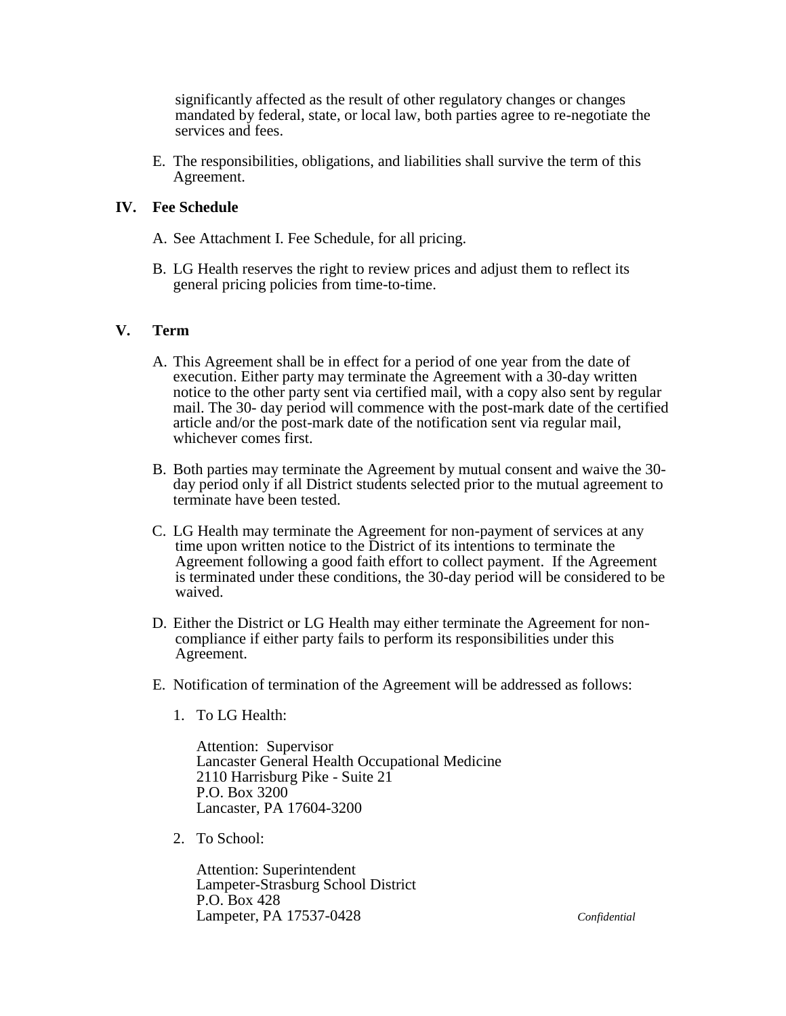significantly affected as the result of other regulatory changes or changes mandated by federal, state, or local law, both parties agree to re-negotiate the services and fees.

E. The responsibilities, obligations, and liabilities shall survive the term of this Agreement.

# **IV. Fee Schedule**

- A. See Attachment I. Fee Schedule, for all pricing.
- B. LG Health reserves the right to review prices and adjust them to reflect its general pricing policies from time-to-time.

### **V. Term**

- A. This Agreement shall be in effect for a period of one year from the date of execution. Either party may terminate the Agreement with a 30-day written notice to the other party sent via certified mail, with a copy also sent by regular mail. The 30- day period will commence with the post-mark date of the certified article and/or the post-mark date of the notification sent via regular mail, whichever comes first.
- B. Both parties may terminate the Agreement by mutual consent and waive the 30 day period only if all District students selected prior to the mutual agreement to terminate have been tested.
- C. LG Health may terminate the Agreement for non-payment of services at any time upon written notice to the District of its intentions to terminate the Agreement following a good faith effort to collect payment. If the Agreement is terminated under these conditions, the 30-day period will be considered to be waived.
- D. Either the District or LG Health may either terminate the Agreement for noncompliance if either party fails to perform its responsibilities under this Agreement.
- E. Notification of termination of the Agreement will be addressed as follows:
	- 1. To LG Health:

Attention: Supervisor Lancaster General Health Occupational Medicine 2110 Harrisburg Pike - Suite 21 P.O. Box 3200 Lancaster, PA 17604-3200

2. To School:

Attention: Superintendent Lampeter-Strasburg School District P.O. Box 428 Lampeter, PA 17537-0428 *Confidential*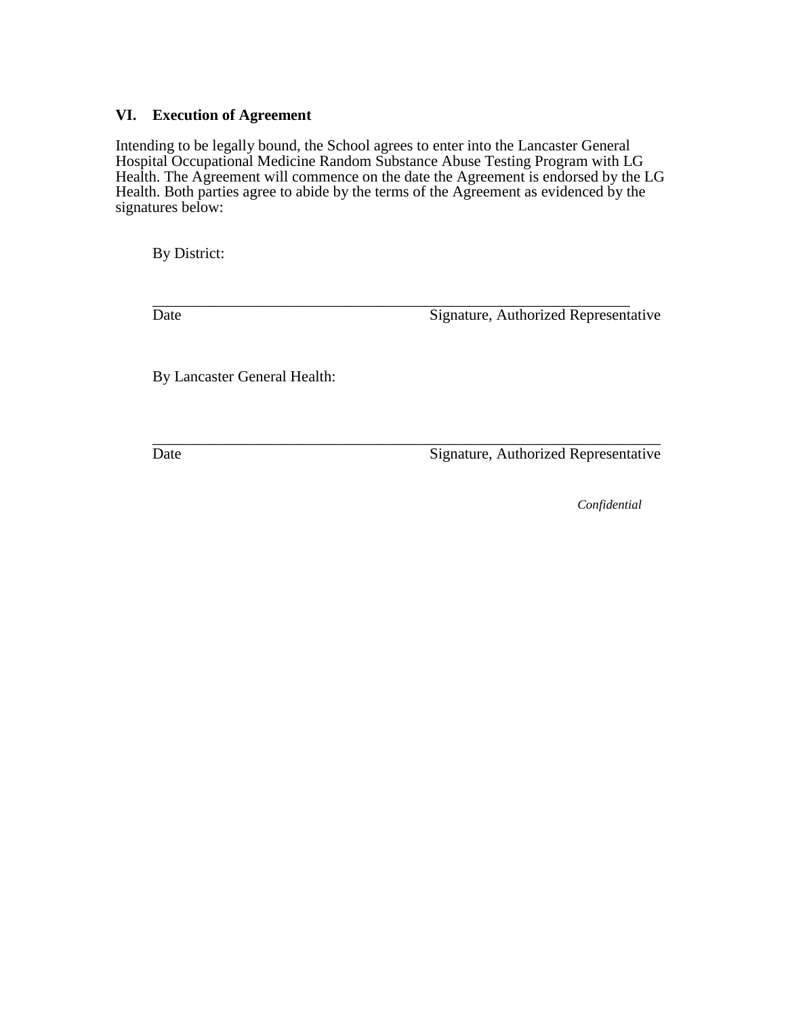# **VI. Execution of Agreement**

Intending to be legally bound, the School agrees to enter into the Lancaster General Hospital Occupational Medicine Random Substance Abuse Testing Program with LG Health. The Agreement will commence on the date the Agreement is endorsed by the LG Health. Both parties agree to abide by the terms of the Agreement as evidenced by the signatures below:

By District:

\_\_\_\_\_\_\_\_\_\_\_\_\_\_\_\_\_\_\_\_\_\_\_\_\_\_\_\_\_\_\_\_\_\_\_\_\_\_\_\_\_\_\_\_\_\_\_\_\_\_\_\_\_\_\_\_\_\_\_\_\_\_ Date Signature, Authorized Representative

By Lancaster General Health:

\_\_\_\_\_\_\_\_\_\_\_\_\_\_\_\_\_\_\_\_\_\_\_\_\_\_\_\_\_\_\_\_\_\_\_\_\_\_\_\_\_\_\_\_\_\_\_\_\_\_\_\_\_\_\_\_\_\_\_\_\_\_\_\_\_\_ Date Signature, Authorized Representative

*Confidential*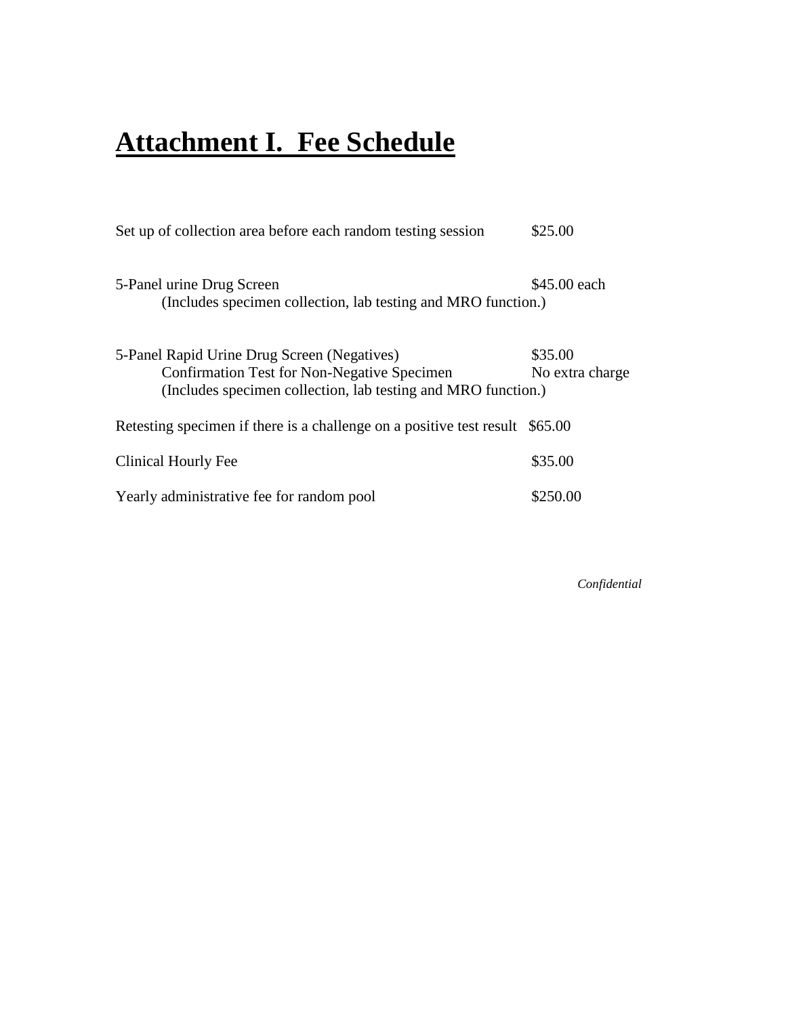# **Attachment I. Fee Schedule**

| Set up of collection area before each random testing session                                                                                                       | \$25.00                    |
|--------------------------------------------------------------------------------------------------------------------------------------------------------------------|----------------------------|
| 5-Panel urine Drug Screen<br>(Includes specimen collection, lab testing and MRO function.)                                                                         | \$45.00 each               |
| 5-Panel Rapid Urine Drug Screen (Negatives)<br><b>Confirmation Test for Non-Negative Specimen</b><br>(Includes specimen collection, lab testing and MRO function.) | \$35.00<br>No extra charge |
| Retesting specimen if there is a challenge on a positive test result \$65.00                                                                                       |                            |
| Clinical Hourly Fee                                                                                                                                                | \$35.00                    |
| Yearly administrative fee for random pool                                                                                                                          | \$250.00                   |
|                                                                                                                                                                    |                            |

*Confidential*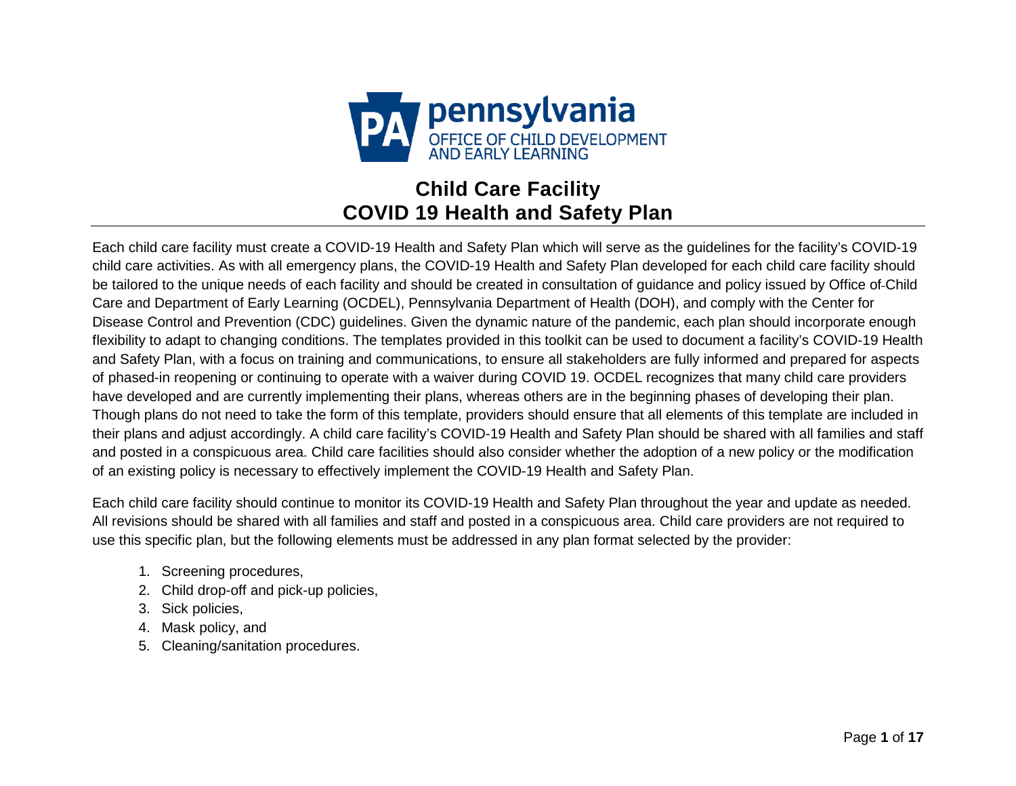

# **Child Care Facility COVID 19 Health and Safety Plan**

Each child care facility must create a COVID-19 Health and Safety Plan which will serve as the guidelines for the facility's COVID-19 child care activities. As with all emergency plans, the COVID-19 Health and Safety Plan developed for each child care facility should be tailored to the unique needs of each facility and should be created in consultation of guidance and policy issued by Office of Child Care and Department of Early Learning (OCDEL), Pennsylvania Department of Health (DOH), and comply with the Center for Disease Control and Prevention (CDC) guidelines. Given the dynamic nature of the pandemic, each plan should incorporate enough flexibility to adapt to changing conditions. The templates provided in this toolkit can be used to document a facility's COVID-19 Health and Safety Plan, with a focus on training and communications, to ensure all stakeholders are fully informed and prepared for aspects of phased-in reopening or continuing to operate with a waiver during COVID 19. OCDEL recognizes that many child care providers have developed and are currently implementing their plans, whereas others are in the beginning phases of developing their plan. Though plans do not need to take the form of this template, providers should ensure that all elements of this template are included in their plans and adjust accordingly. A child care facility's COVID-19 Health and Safety Plan should be shared with all families and staff and posted in a conspicuous area. Child care facilities should also consider whether the adoption of a new policy or the modification of an existing policy is necessary to effectively implement the COVID-19 Health and Safety Plan.

Each child care facility should continue to monitor its COVID-19 Health and Safety Plan throughout the year and update as needed. All revisions should be shared with all families and staff and posted in a conspicuous area. Child care providers are not required to use this specific plan, but the following elements must be addressed in any plan format selected by the provider:

- 1. Screening procedures,
- 2. Child drop-off and pick-up policies,
- 3. Sick policies,
- 4. Mask policy, and
- 5. Cleaning/sanitation procedures.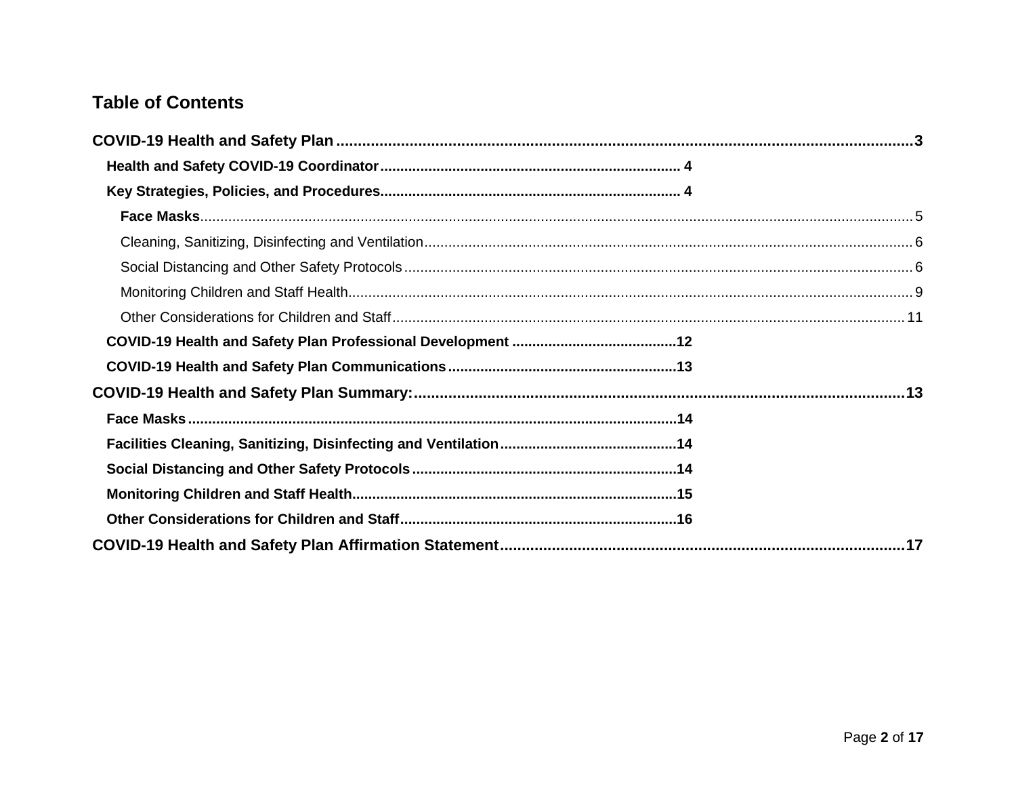# **Table of Contents**

<span id="page-12-0"></span>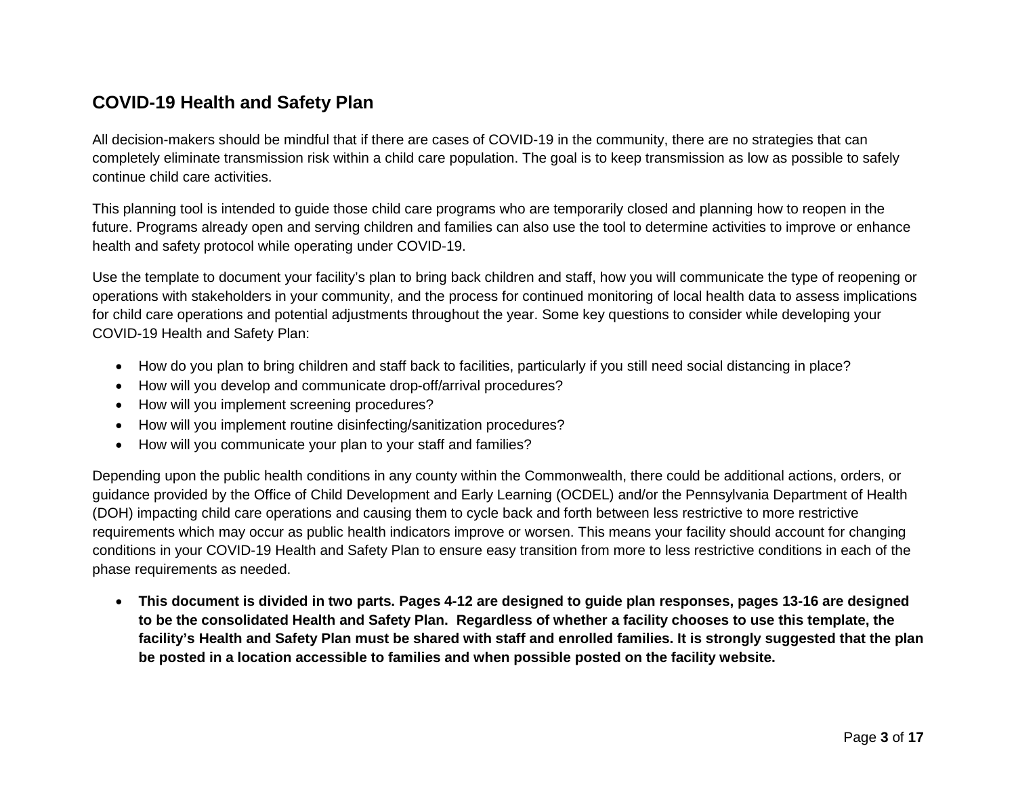# **COVID-19 Health and Safety Plan**

All decision-makers should be mindful that if there are cases of COVID-19 in the community, there are no strategies that can completely eliminate transmission risk within a child care population. The goal is to keep transmission as low as possible to safely continue child care activities.

This planning tool is intended to guide those child care programs who are temporarily closed and planning how to reopen in the future. Programs already open and serving children and families can also use the tool to determine activities to improve or enhance health and safety protocol while operating under COVID-19.

Use the template to document your facility's plan to bring back children and staff, how you will communicate the type of reopening or operations with stakeholders in your community, and the process for continued monitoring of local health data to assess implications for child care operations and potential adjustments throughout the year. Some key questions to consider while developing your COVID-19 Health and Safety Plan:

- How do you plan to bring children and staff back to facilities, particularly if you still need social distancing in place?
- How will you develop and communicate drop-off/arrival procedures?
- How will you implement screening procedures?
- How will you implement routine disinfecting/sanitization procedures?
- How will you communicate your plan to your staff and families?

Depending upon the public health conditions in any county within the Commonwealth, there could be additional actions, orders, or guidance provided by the Office of Child Development and Early Learning (OCDEL) and/or the Pennsylvania Department of Health (DOH) impacting child care operations and causing them to cycle back and forth between less restrictive to more restrictive requirements which may occur as public health indicators improve or worsen. This means your facility should account for changing conditions in your COVID-19 Health and Safety Plan to ensure easy transition from more to less restrictive conditions in each of the phase requirements as needed.

• **This document is divided in two parts. Pages 4-12 are designed to guide plan responses, pages 13-16 are designed to be the consolidated Health and Safety Plan. Regardless of whether a facility chooses to use this template, the facility's Health and Safety Plan must be shared with staff and enrolled families. It is strongly suggested that the plan be posted in a location accessible to families and when possible posted on the facility website.**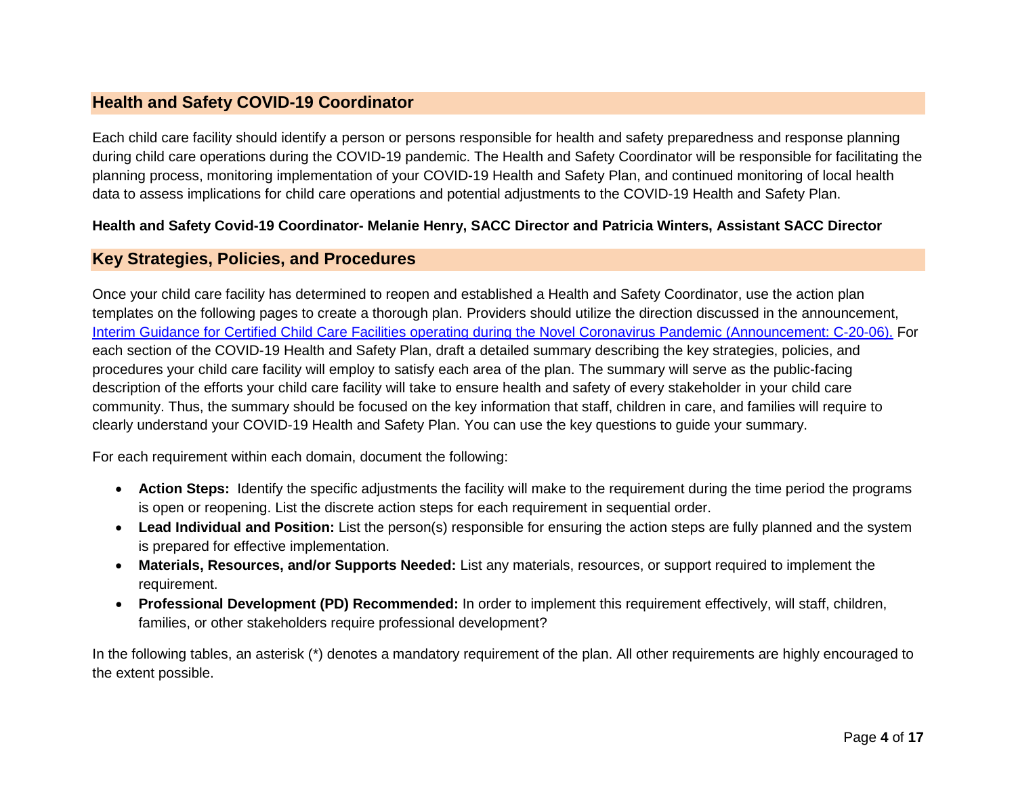# <span id="page-14-0"></span>**Health and Safety COVID-19 Coordinator**

Each child care facility should identify a person or persons responsible for health and safety preparedness and response planning during child care operations during the COVID-19 pandemic. The Health and Safety Coordinator will be responsible for facilitating the planning process, monitoring implementation of your COVID-19 Health and Safety Plan, and continued monitoring of local health data to assess implications for child care operations and potential adjustments to the COVID-19 Health and Safety Plan.

# **Health and Safety Covid-19 Coordinator- Melanie Henry, SACC Director and Patricia Winters, Assistant SACC Director**

# <span id="page-14-1"></span>**Key Strategies, Policies, and Procedures**

Once your child care facility has determined to reopen and established a Health and Safety Coordinator, use the action plan templates on the following pages to create a thorough plan. Providers should utilize the direction discussed in the announcement, [Interim Guidance for Certified Child Care Facilities operating during the Novel Coronavirus Pandemic \(Announcement: C-20-06\).](https://files.constantcontact.com/3e3d36fe201/f1dc7cca-6c70-4e4e-b60a-3bbabc353fa2.pdf) For each section of the COVID-19 Health and Safety Plan, draft a detailed summary describing the key strategies, policies, and procedures your child care facility will employ to satisfy each area of the plan. The summary will serve as the public-facing description of the efforts your child care facility will take to ensure health and safety of every stakeholder in your child care community. Thus, the summary should be focused on the key information that staff, children in care, and families will require to clearly understand your COVID-19 Health and Safety Plan. You can use the key questions to guide your summary.

For each requirement within each domain, document the following:

- **Action Steps:** Identify the specific adjustments the facility will make to the requirement during the time period the programs is open or reopening. List the discrete action steps for each requirement in sequential order.
- **Lead Individual and Position:** List the person(s) responsible for ensuring the action steps are fully planned and the system is prepared for effective implementation.
- **Materials, Resources, and/or Supports Needed:** List any materials, resources, or support required to implement the requirement.
- **Professional Development (PD) Recommended:** In order to implement this requirement effectively, will staff, children, families, or other stakeholders require professional development?

In the following tables, an asterisk (\*) denotes a mandatory requirement of the plan. All other requirements are highly encouraged to the extent possible.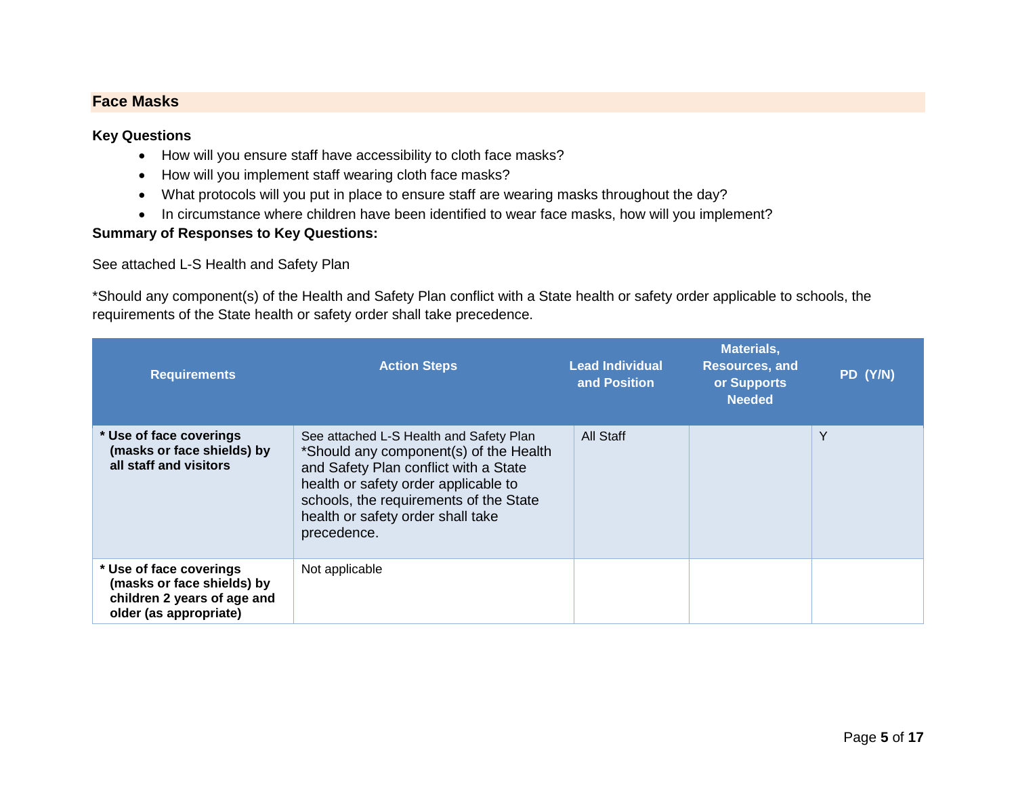# <span id="page-15-0"></span>**Face Masks**

### **Key Questions**

- How will you ensure staff have accessibility to cloth face masks?
- How will you implement staff wearing cloth face masks?
- What protocols will you put in place to ensure staff are wearing masks throughout the day?
- In circumstance where children have been identified to wear face masks, how will you implement?

# **Summary of Responses to Key Questions:**

# See attached L-S Health and Safety Plan

\*Should any component(s) of the Health and Safety Plan conflict with a State health or safety order applicable to schools, the requirements of the State health or safety order shall take precedence.

| <b>Requirements</b>                                                                                            | <b>Action Steps</b>                                                                                                                                                                                                                                              | <b>Lead Individual</b><br>and Position | <b>Materials,</b><br><b>Resources, and</b><br>or Supports<br><b>Needed</b> | PD (Y/N) |
|----------------------------------------------------------------------------------------------------------------|------------------------------------------------------------------------------------------------------------------------------------------------------------------------------------------------------------------------------------------------------------------|----------------------------------------|----------------------------------------------------------------------------|----------|
| * Use of face coverings<br>(masks or face shields) by<br>all staff and visitors                                | See attached L-S Health and Safety Plan<br>*Should any component(s) of the Health<br>and Safety Plan conflict with a State<br>health or safety order applicable to<br>schools, the requirements of the State<br>health or safety order shall take<br>precedence. | All Staff                              |                                                                            | Y        |
| * Use of face coverings<br>(masks or face shields) by<br>children 2 years of age and<br>older (as appropriate) | Not applicable                                                                                                                                                                                                                                                   |                                        |                                                                            |          |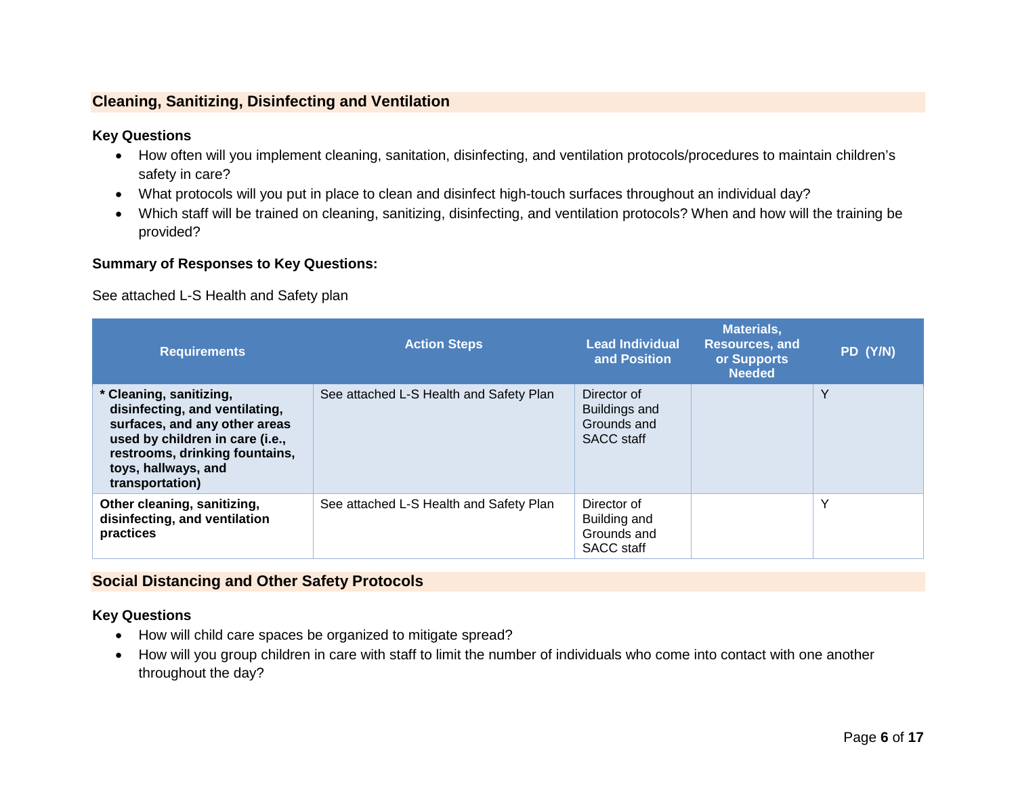# <span id="page-16-0"></span>**Cleaning, Sanitizing, Disinfecting and Ventilation**

# **Key Questions**

- How often will you implement cleaning, sanitation, disinfecting, and ventilation protocols/procedures to maintain children's safety in care?
- What protocols will you put in place to clean and disinfect high-touch surfaces throughout an individual day?
- Which staff will be trained on cleaning, sanitizing, disinfecting, and ventilation protocols? When and how will the training be provided?

### **Summary of Responses to Key Questions:**

See attached L-S Health and Safety plan

| <b>Requirements</b>                                                                                                                                                                                       | <b>Action Steps</b>                     | <b>Lead Individual</b><br>and Position                                  | <b>Materials,</b><br><b>Resources, and</b><br>or Supports<br><b>Needed</b> | PD (Y/N) |
|-----------------------------------------------------------------------------------------------------------------------------------------------------------------------------------------------------------|-----------------------------------------|-------------------------------------------------------------------------|----------------------------------------------------------------------------|----------|
| * Cleaning, sanitizing,<br>disinfecting, and ventilating,<br>surfaces, and any other areas<br>used by children in care (i.e.,<br>restrooms, drinking fountains,<br>toys, hallways, and<br>transportation) | See attached L-S Health and Safety Plan | Director of<br><b>Buildings and</b><br>Grounds and<br><b>SACC</b> staff |                                                                            | Y        |
| Other cleaning, sanitizing,<br>disinfecting, and ventilation<br>practices                                                                                                                                 | See attached L-S Health and Safety Plan | Director of<br>Building and<br>Grounds and<br><b>SACC</b> staff         |                                                                            | Y        |

# <span id="page-16-1"></span>**Social Distancing and Other Safety Protocols**

# **Key Questions**

- How will child care spaces be organized to mitigate spread?
- How will you group children in care with staff to limit the number of individuals who come into contact with one another throughout the day?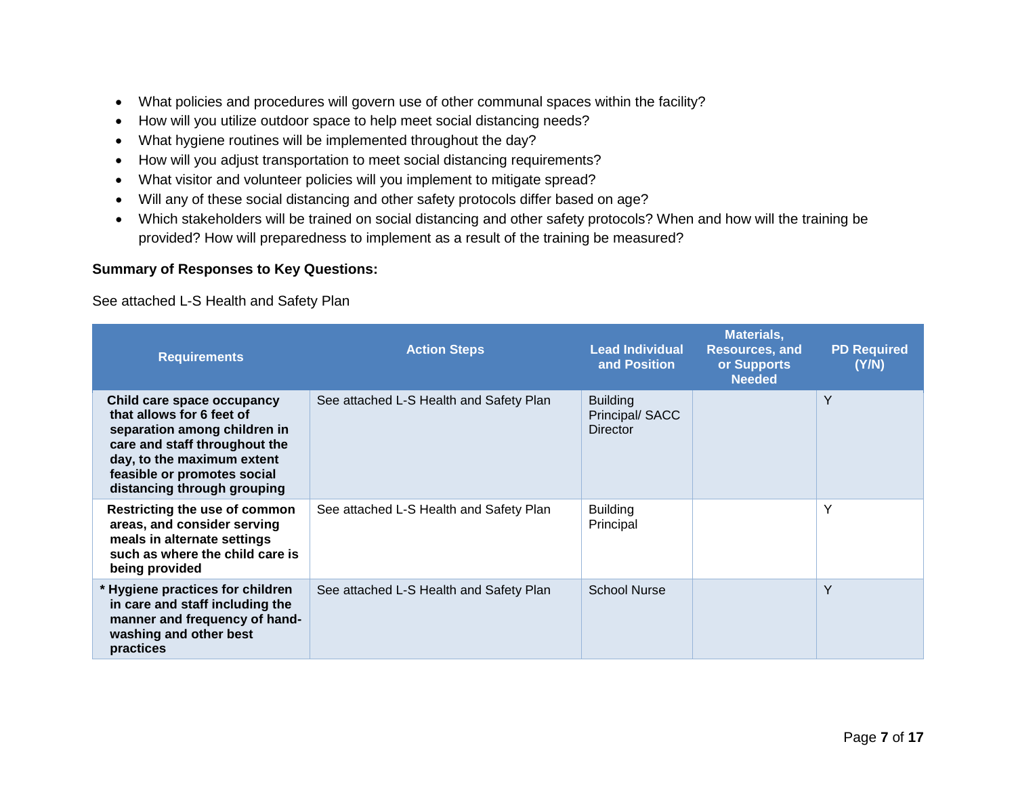- What policies and procedures will govern use of other communal spaces within the facility?
- How will you utilize outdoor space to help meet social distancing needs?
- What hygiene routines will be implemented throughout the day?
- How will you adjust transportation to meet social distancing requirements?
- What visitor and volunteer policies will you implement to mitigate spread?
- Will any of these social distancing and other safety protocols differ based on age?
- Which stakeholders will be trained on social distancing and other safety protocols? When and how will the training be provided? How will preparedness to implement as a result of the training be measured?

# **Summary of Responses to Key Questions:**

See attached L-S Health and Safety Plan

| <b>Requirements</b>                                                                                                                                                                                                  | <b>Action Steps</b>                     | <b>Lead Individual</b><br>and Position               | <b>Materials,</b><br><b>Resources, and</b><br>or Supports<br><b>Needed</b> | <b>PD Required</b><br>(Y/N) |
|----------------------------------------------------------------------------------------------------------------------------------------------------------------------------------------------------------------------|-----------------------------------------|------------------------------------------------------|----------------------------------------------------------------------------|-----------------------------|
| Child care space occupancy<br>that allows for 6 feet of<br>separation among children in<br>care and staff throughout the<br>day, to the maximum extent<br>feasible or promotes social<br>distancing through grouping | See attached L-S Health and Safety Plan | <b>Building</b><br>Principal/SACC<br><b>Director</b> |                                                                            | Y                           |
| Restricting the use of common<br>areas, and consider serving<br>meals in alternate settings<br>such as where the child care is<br>being provided                                                                     | See attached L-S Health and Safety Plan | <b>Building</b><br>Principal                         |                                                                            | Y                           |
| * Hygiene practices for children<br>in care and staff including the<br>manner and frequency of hand-<br>washing and other best<br>practices                                                                          | See attached L-S Health and Safety Plan | <b>School Nurse</b>                                  |                                                                            | Y                           |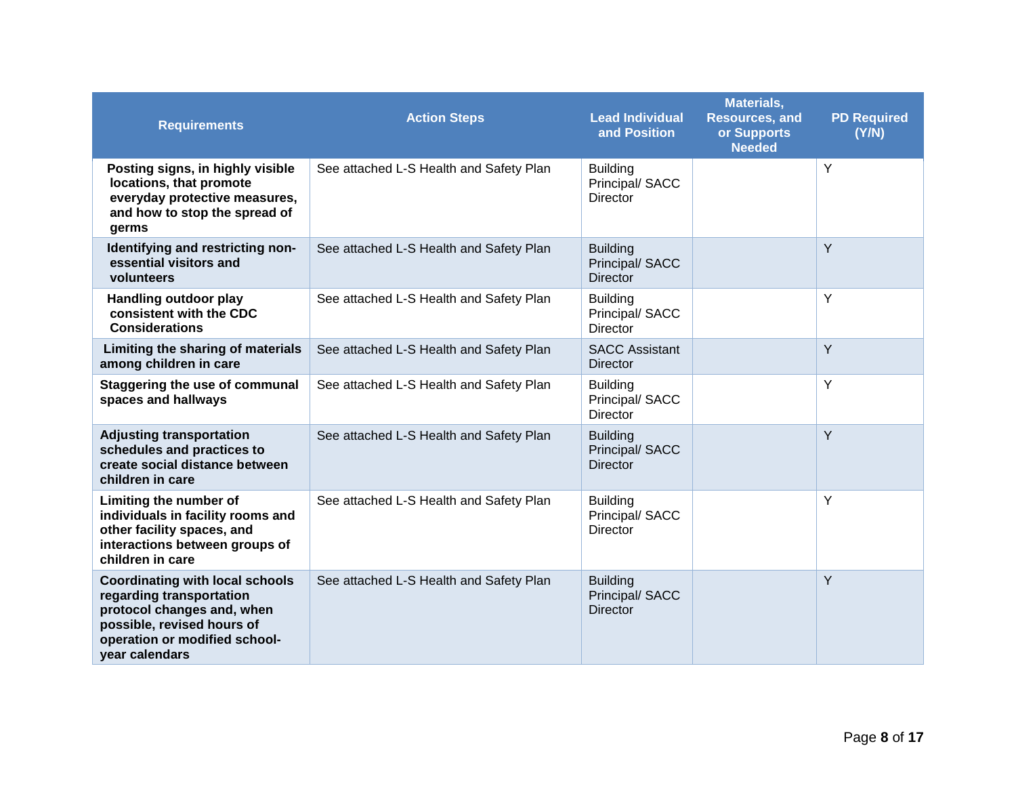| <b>Requirements</b>                                                                                                                                                               | <b>Action Steps</b>                     | <b>Lead Individual</b><br>and Position                | <b>Materials,</b><br><b>Resources, and</b><br>or Supports<br><b>Needed</b> | <b>PD Required</b><br>(Y/N) |
|-----------------------------------------------------------------------------------------------------------------------------------------------------------------------------------|-----------------------------------------|-------------------------------------------------------|----------------------------------------------------------------------------|-----------------------------|
| Posting signs, in highly visible<br>locations, that promote<br>everyday protective measures,<br>and how to stop the spread of<br>germs                                            | See attached L-S Health and Safety Plan | <b>Building</b><br>Principal/ SACC<br><b>Director</b> |                                                                            | Y                           |
| Identifying and restricting non-<br>essential visitors and<br>volunteers                                                                                                          | See attached L-S Health and Safety Plan | <b>Building</b><br>Principal/ SACC<br><b>Director</b> |                                                                            | Y                           |
| Handling outdoor play<br>consistent with the CDC<br><b>Considerations</b>                                                                                                         | See attached L-S Health and Safety Plan | <b>Building</b><br>Principal/ SACC<br>Director        |                                                                            | Y                           |
| Limiting the sharing of materials<br>among children in care                                                                                                                       | See attached L-S Health and Safety Plan | <b>SACC Assistant</b><br><b>Director</b>              |                                                                            | Y                           |
| <b>Staggering the use of communal</b><br>spaces and hallways                                                                                                                      | See attached L-S Health and Safety Plan | <b>Building</b><br>Principal/ SACC<br><b>Director</b> |                                                                            | Y                           |
| <b>Adjusting transportation</b><br>schedules and practices to<br>create social distance between<br>children in care                                                               | See attached L-S Health and Safety Plan | <b>Building</b><br>Principal/ SACC<br><b>Director</b> |                                                                            | Y                           |
| Limiting the number of<br>individuals in facility rooms and<br>other facility spaces, and<br>interactions between groups of<br>children in care                                   | See attached L-S Health and Safety Plan | <b>Building</b><br>Principal/ SACC<br><b>Director</b> |                                                                            | Y                           |
| <b>Coordinating with local schools</b><br>regarding transportation<br>protocol changes and, when<br>possible, revised hours of<br>operation or modified school-<br>year calendars | See attached L-S Health and Safety Plan | <b>Building</b><br>Principal/ SACC<br><b>Director</b> |                                                                            | Y                           |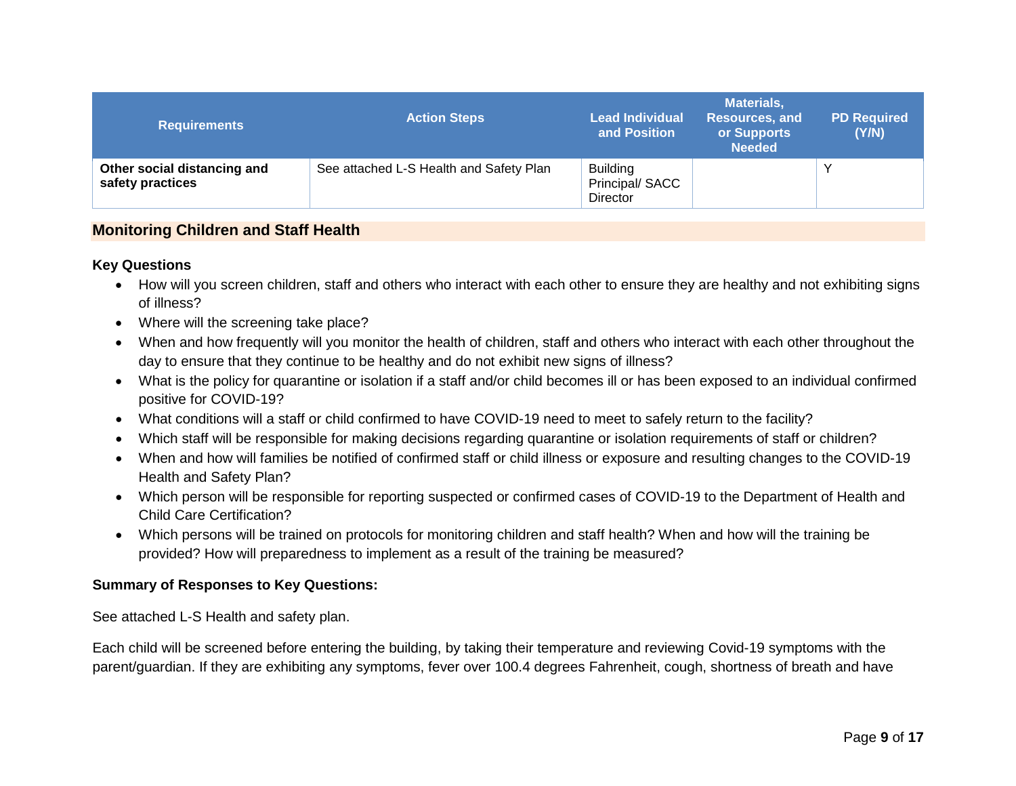| <b>Requirements</b>                             | <b>Action Steps</b>                     | <b>Lead Individual</b><br>and Position               | <b>Materials,</b><br>Resources, and<br>or Supports<br><b>Needed</b> | <b>PD Required</b><br>(Y/N) |
|-------------------------------------------------|-----------------------------------------|------------------------------------------------------|---------------------------------------------------------------------|-----------------------------|
| Other social distancing and<br>safety practices | See attached L-S Health and Safety Plan | <b>Building</b><br>Principal/SACC<br><b>Director</b> |                                                                     |                             |

# <span id="page-19-0"></span>**Monitoring Children and Staff Health**

# **Key Questions**

- How will you screen children, staff and others who interact with each other to ensure they are healthy and not exhibiting signs of illness?
- Where will the screening take place?
- When and how frequently will you monitor the health of children, staff and others who interact with each other throughout the day to ensure that they continue to be healthy and do not exhibit new signs of illness?
- What is the policy for quarantine or isolation if a staff and/or child becomes ill or has been exposed to an individual confirmed positive for COVID-19?
- What conditions will a staff or child confirmed to have COVID-19 need to meet to safely return to the facility?
- Which staff will be responsible for making decisions regarding quarantine or isolation requirements of staff or children?
- When and how will families be notified of confirmed staff or child illness or exposure and resulting changes to the COVID-19 Health and Safety Plan?
- Which person will be responsible for reporting suspected or confirmed cases of COVID-19 to the Department of Health and Child Care Certification?
- Which persons will be trained on protocols for monitoring children and staff health? When and how will the training be provided? How will preparedness to implement as a result of the training be measured?

# **Summary of Responses to Key Questions:**

See attached L-S Health and safety plan.

Each child will be screened before entering the building, by taking their temperature and reviewing Covid-19 symptoms with the parent/guardian. If they are exhibiting any symptoms, fever over 100.4 degrees Fahrenheit, cough, shortness of breath and have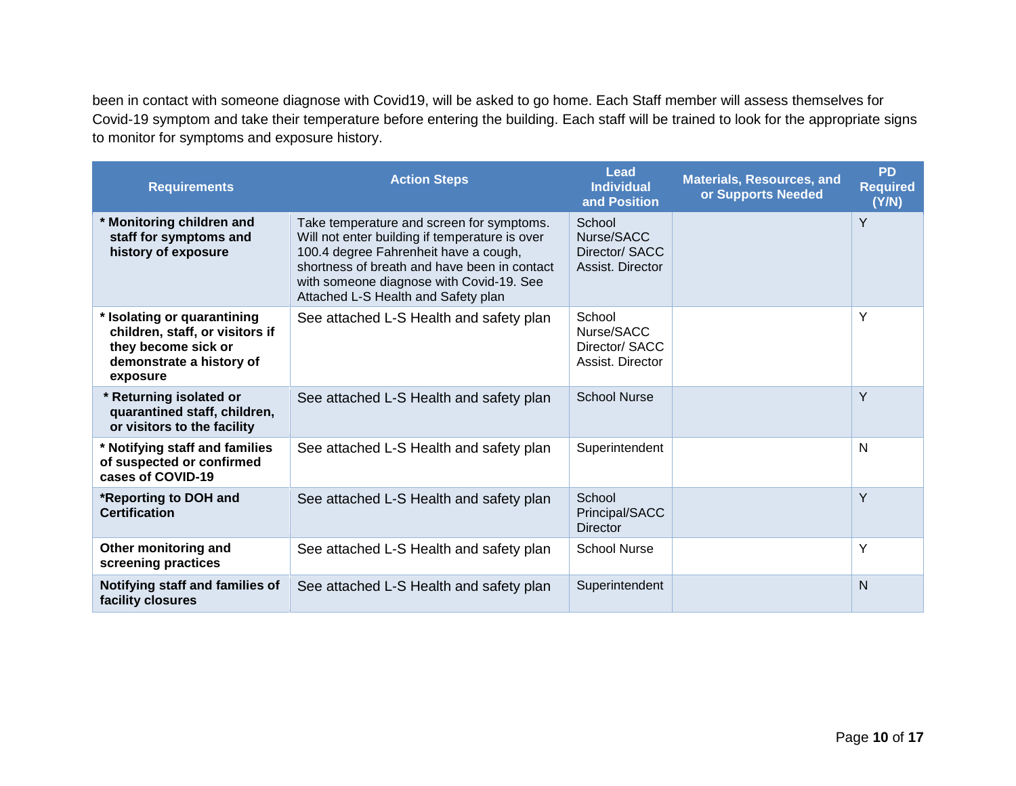been in contact with someone diagnose with Covid19, will be asked to go home. Each Staff member will assess themselves for Covid-19 symptom and take their temperature before entering the building. Each staff will be trained to look for the appropriate signs to monitor for symptoms and exposure history.

| <b>Requirements</b>                                                                                                           | <b>Action Steps</b>                                                                                                                                                                                                                                                     | Lead<br><b>Individual</b><br>and Position                  | <b>Materials, Resources, and</b><br>or Supports Needed | <b>PD</b><br><b>Required</b><br>(Y/N) |
|-------------------------------------------------------------------------------------------------------------------------------|-------------------------------------------------------------------------------------------------------------------------------------------------------------------------------------------------------------------------------------------------------------------------|------------------------------------------------------------|--------------------------------------------------------|---------------------------------------|
| * Monitoring children and<br>staff for symptoms and<br>history of exposure                                                    | Take temperature and screen for symptoms.<br>Will not enter building if temperature is over<br>100.4 degree Fahrenheit have a cough,<br>shortness of breath and have been in contact<br>with someone diagnose with Covid-19. See<br>Attached L-S Health and Safety plan | School<br>Nurse/SACC<br>Director/ SACC<br>Assist. Director |                                                        | Y                                     |
| * Isolating or quarantining<br>children, staff, or visitors if<br>they become sick or<br>demonstrate a history of<br>exposure | See attached L-S Health and safety plan                                                                                                                                                                                                                                 | School<br>Nurse/SACC<br>Director/ SACC<br>Assist. Director |                                                        | Y                                     |
| * Returning isolated or<br>quarantined staff, children,<br>or visitors to the facility                                        | See attached L-S Health and safety plan                                                                                                                                                                                                                                 | <b>School Nurse</b>                                        |                                                        | Y                                     |
| * Notifying staff and families<br>of suspected or confirmed<br>cases of COVID-19                                              | See attached L-S Health and safety plan                                                                                                                                                                                                                                 | Superintendent                                             |                                                        | N                                     |
| *Reporting to DOH and<br><b>Certification</b>                                                                                 | See attached L-S Health and safety plan                                                                                                                                                                                                                                 | School<br>Principal/SACC<br>Director                       |                                                        | Y                                     |
| Other monitoring and<br>screening practices                                                                                   | See attached L-S Health and safety plan                                                                                                                                                                                                                                 | <b>School Nurse</b>                                        |                                                        | Υ                                     |
| Notifying staff and families of<br>facility closures                                                                          | See attached L-S Health and safety plan                                                                                                                                                                                                                                 | Superintendent                                             |                                                        | N                                     |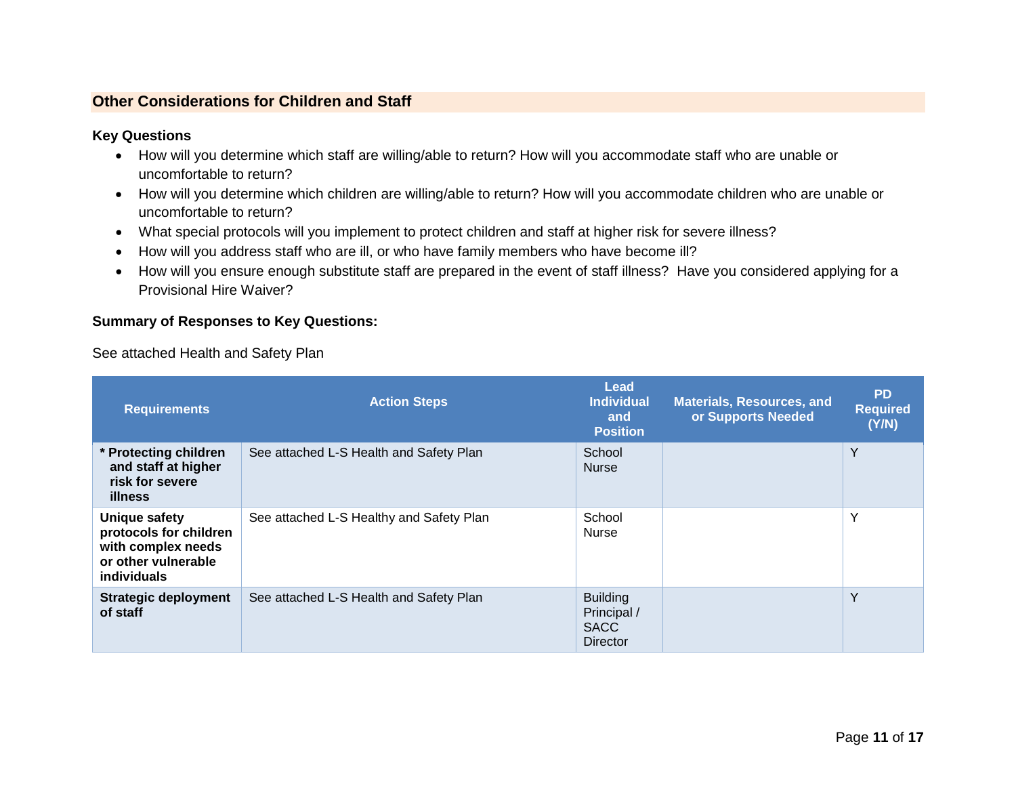# <span id="page-21-0"></span>**Other Considerations for Children and Staff**

# **Key Questions**

- How will you determine which staff are willing/able to return? How will you accommodate staff who are unable or uncomfortable to return?
- How will you determine which children are willing/able to return? How will you accommodate children who are unable or uncomfortable to return?
- What special protocols will you implement to protect children and staff at higher risk for severe illness?
- How will you address staff who are ill, or who have family members who have become ill?
- How will you ensure enough substitute staff are prepared in the event of staff illness? Have you considered applying for a Provisional Hire Waiver?

# **Summary of Responses to Key Questions:**

See attached Health and Safety Plan

| <b>Requirements</b>                                                                                        | <b>Action Steps</b>                      | <b>Lead</b><br><b>Individual</b><br>and<br><b>Position</b>       | <b>Materials, Resources, and</b><br>or Supports Needed | <b>PD</b><br><b>Required</b><br>(Y/N) |
|------------------------------------------------------------------------------------------------------------|------------------------------------------|------------------------------------------------------------------|--------------------------------------------------------|---------------------------------------|
| * Protecting children<br>and staff at higher<br>risk for severe<br><b>illness</b>                          | See attached L-S Health and Safety Plan  | School<br><b>Nurse</b>                                           |                                                        | Y                                     |
| Unique safety<br>protocols for children<br>with complex needs<br>or other vulnerable<br><b>individuals</b> | See attached L-S Healthy and Safety Plan | School<br>Nurse                                                  |                                                        | $\checkmark$                          |
| <b>Strategic deployment</b><br>of staff                                                                    | See attached L-S Health and Safety Plan  | <b>Building</b><br>Principal /<br><b>SACC</b><br><b>Director</b> |                                                        | Y                                     |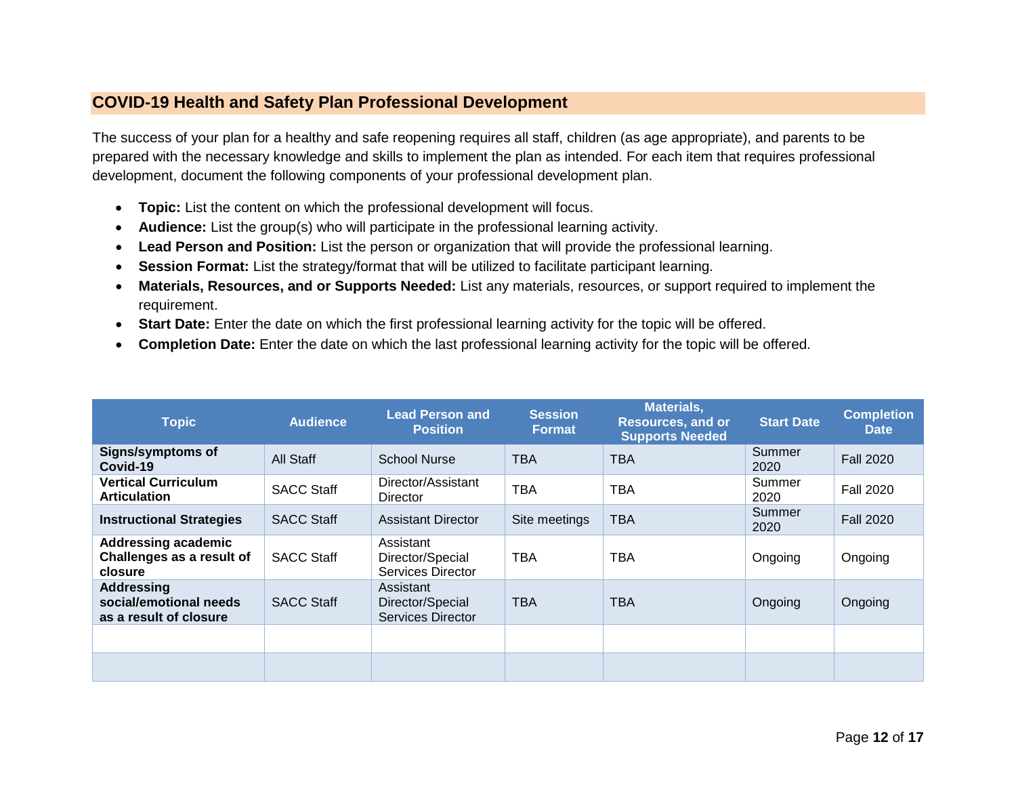# <span id="page-22-0"></span>**COVID-19 Health and Safety Plan Professional Development**

The success of your plan for a healthy and safe reopening requires all staff, children (as age appropriate), and parents to be prepared with the necessary knowledge and skills to implement the plan as intended. For each item that requires professional development, document the following components of your professional development plan.

- **Topic:** List the content on which the professional development will focus.
- **Audience:** List the group(s) who will participate in the professional learning activity.
- **Lead Person and Position:** List the person or organization that will provide the professional learning.
- **Session Format:** List the strategy/format that will be utilized to facilitate participant learning.
- **Materials, Resources, and or Supports Needed:** List any materials, resources, or support required to implement the requirement.
- **Start Date:** Enter the date on which the first professional learning activity for the topic will be offered.
- **Completion Date:** Enter the date on which the last professional learning activity for the topic will be offered.

| <b>Topic</b>                                                          | <b>Audience</b>   | <b>Lead Person and</b><br><b>Position</b>                 | <b>Session</b><br><b>Format</b> | Materials,<br><b>Resources, and or</b><br><b>Supports Needed</b> | <b>Start Date</b> | <b>Completion</b><br><b>Date</b> |
|-----------------------------------------------------------------------|-------------------|-----------------------------------------------------------|---------------------------------|------------------------------------------------------------------|-------------------|----------------------------------|
| <b>Signs/symptoms of</b><br>Covid-19                                  | All Staff         | <b>School Nurse</b>                                       | <b>TBA</b>                      | <b>TBA</b>                                                       | Summer<br>2020    | <b>Fall 2020</b>                 |
| <b>Vertical Curriculum</b><br><b>Articulation</b>                     | <b>SACC Staff</b> | Director/Assistant<br><b>Director</b>                     | <b>TBA</b>                      | <b>TBA</b>                                                       | Summer<br>2020    | <b>Fall 2020</b>                 |
| <b>Instructional Strategies</b>                                       | <b>SACC Staff</b> | <b>Assistant Director</b>                                 | Site meetings                   | <b>TBA</b>                                                       | Summer<br>2020    | <b>Fall 2020</b>                 |
| <b>Addressing academic</b><br>Challenges as a result of<br>closure    | <b>SACC Staff</b> | Assistant<br>Director/Special<br>Services Director        | <b>TBA</b>                      | TBA                                                              | Ongoing           | Ongoing                          |
| <b>Addressing</b><br>social/emotional needs<br>as a result of closure | <b>SACC Staff</b> | Assistant<br>Director/Special<br><b>Services Director</b> | <b>TBA</b>                      | <b>TBA</b>                                                       | Ongoing           | Ongoing                          |
|                                                                       |                   |                                                           |                                 |                                                                  |                   |                                  |
|                                                                       |                   |                                                           |                                 |                                                                  |                   |                                  |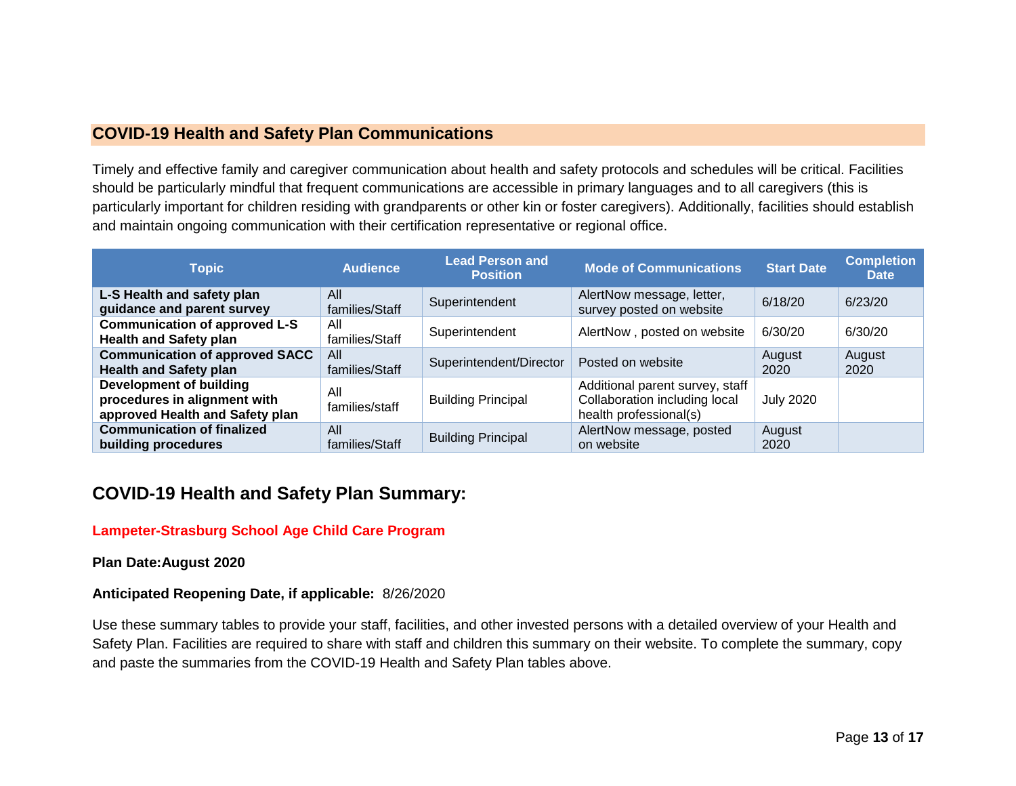# <span id="page-23-0"></span>**COVID-19 Health and Safety Plan Communications**

Timely and effective family and caregiver communication about health and safety protocols and schedules will be critical. Facilities should be particularly mindful that frequent communications are accessible in primary languages and to all caregivers (this is particularly important for children residing with grandparents or other kin or foster caregivers). Additionally, facilities should establish and maintain ongoing communication with their certification representative or regional office.

| <b>Topic</b>                                                                               | <b>Audience</b>       | <b>Lead Person and</b><br><b>Position</b> | <b>Mode of Communications</b>                                                              | <b>Start Date</b> | <b>Completion</b><br><b>Date</b> |
|--------------------------------------------------------------------------------------------|-----------------------|-------------------------------------------|--------------------------------------------------------------------------------------------|-------------------|----------------------------------|
| L-S Health and safety plan<br>guidance and parent survey                                   | All<br>families/Staff | Superintendent                            | AlertNow message, letter,<br>survey posted on website                                      | 6/18/20           | 6/23/20                          |
| <b>Communication of approved L-S</b><br><b>Health and Safety plan</b>                      | All<br>families/Staff | Superintendent                            | AlertNow, posted on website                                                                | 6/30/20           | 6/30/20                          |
| <b>Communication of approved SACC</b><br><b>Health and Safety plan</b>                     | All<br>families/Staff | Superintendent/Director                   | Posted on website                                                                          | August<br>2020    | August<br>2020                   |
| Development of building<br>procedures in alignment with<br>approved Health and Safety plan | All<br>families/staff | <b>Building Principal</b>                 | Additional parent survey, staff<br>Collaboration including local<br>health professional(s) | <b>July 2020</b>  |                                  |
| <b>Communication of finalized</b><br>building procedures                                   | All<br>families/Staff | <b>Building Principal</b>                 | AlertNow message, posted<br>on website                                                     | August<br>2020    |                                  |

# <span id="page-23-1"></span>**COVID-19 Health and Safety Plan Summary:**

# **Lampeter-Strasburg School Age Child Care Program**

# **Plan Date:August 2020**

# **Anticipated Reopening Date, if applicable:** 8/26/2020

Use these summary tables to provide your staff, facilities, and other invested persons with a detailed overview of your Health and Safety Plan. Facilities are required to share with staff and children this summary on their website. To complete the summary, copy and paste the summaries from the COVID-19 Health and Safety Plan tables above.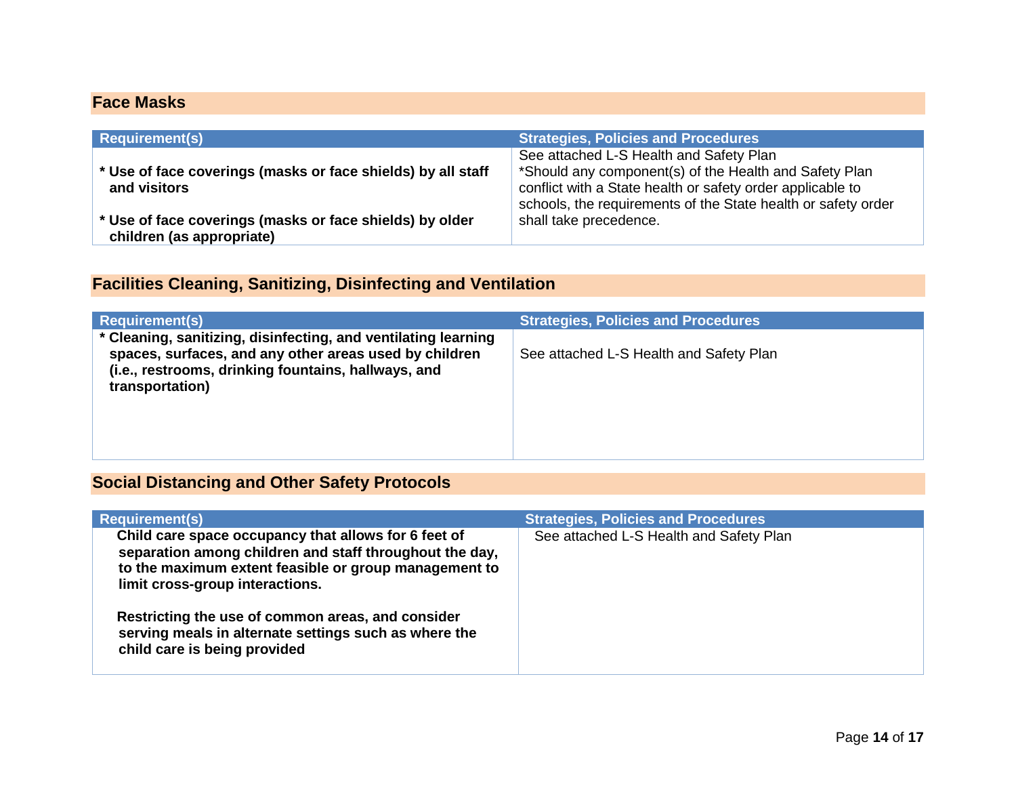# <span id="page-24-0"></span>**Face Masks**

| <b>Requirement(s)</b>                                                                 | <b>Strategies, Policies and Procedures</b>                                                                                                                                                                                       |
|---------------------------------------------------------------------------------------|----------------------------------------------------------------------------------------------------------------------------------------------------------------------------------------------------------------------------------|
| * Use of face coverings (masks or face shields) by all staff<br>and visitors          | See attached L-S Health and Safety Plan<br>*Should any component(s) of the Health and Safety Plan<br>conflict with a State health or safety order applicable to<br>schools, the requirements of the State health or safety order |
| * Use of face coverings (masks or face shields) by older<br>children (as appropriate) | shall take precedence.                                                                                                                                                                                                           |

# <span id="page-24-1"></span>**Facilities Cleaning, Sanitizing, Disinfecting and Ventilation**

| <b>Requirement(s)</b>                                                                                                                                                                              | <b>Strategies, Policies and Procedures</b> |
|----------------------------------------------------------------------------------------------------------------------------------------------------------------------------------------------------|--------------------------------------------|
| * Cleaning, sanitizing, disinfecting, and ventilating learning<br>spaces, surfaces, and any other areas used by children<br>(i.e., restrooms, drinking fountains, hallways, and<br>transportation) | See attached L-S Health and Safety Plan    |
|                                                                                                                                                                                                    |                                            |

# <span id="page-24-2"></span>**Social Distancing and Other Safety Protocols**

| <b>Requirement(s)</b>                                                                                                                                                                                       | <b>Strategies, Policies and Procedures</b> |
|-------------------------------------------------------------------------------------------------------------------------------------------------------------------------------------------------------------|--------------------------------------------|
| Child care space occupancy that allows for 6 feet of<br>separation among children and staff throughout the day,<br>to the maximum extent feasible or group management to<br>limit cross-group interactions. | See attached L-S Health and Safety Plan    |
| Restricting the use of common areas, and consider<br>serving meals in alternate settings such as where the<br>child care is being provided                                                                  |                                            |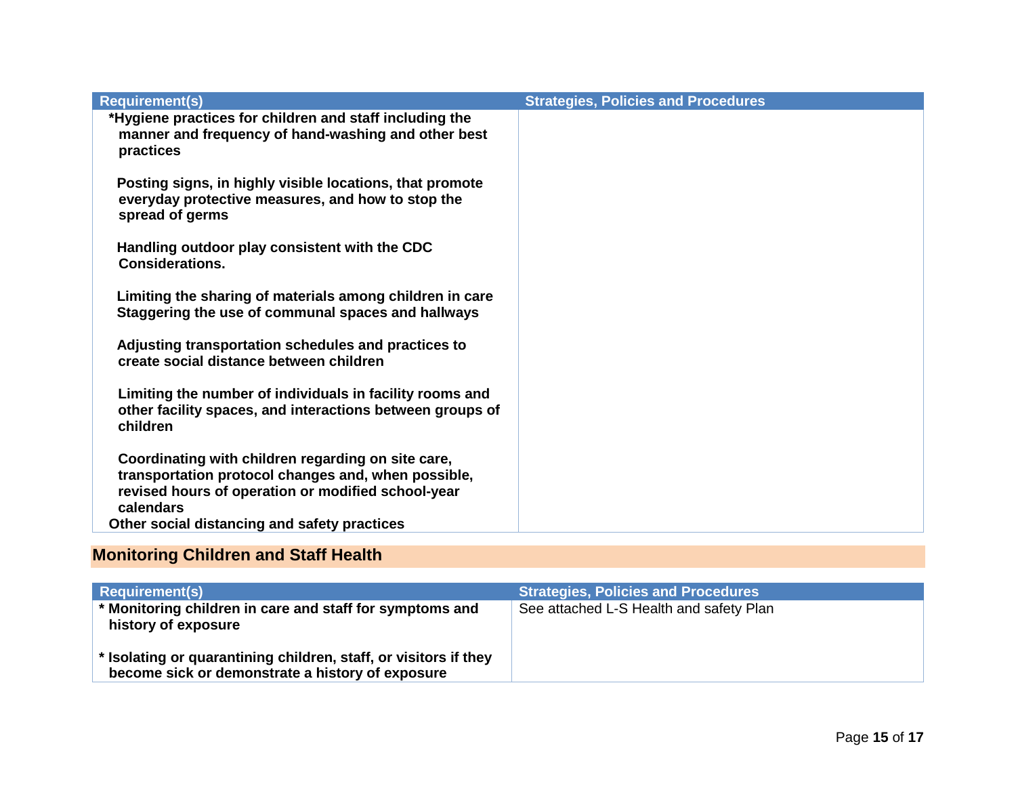| <b>Requirement(s)</b>                                                                                                                                                                                                        | <b>Strategies, Policies and Procedures</b> |
|------------------------------------------------------------------------------------------------------------------------------------------------------------------------------------------------------------------------------|--------------------------------------------|
| *Hygiene practices for children and staff including the<br>manner and frequency of hand-washing and other best<br>practices                                                                                                  |                                            |
| Posting signs, in highly visible locations, that promote<br>everyday protective measures, and how to stop the<br>spread of germs                                                                                             |                                            |
| Handling outdoor play consistent with the CDC<br><b>Considerations.</b>                                                                                                                                                      |                                            |
| Limiting the sharing of materials among children in care<br>Staggering the use of communal spaces and hallways                                                                                                               |                                            |
| Adjusting transportation schedules and practices to<br>create social distance between children                                                                                                                               |                                            |
| Limiting the number of individuals in facility rooms and<br>other facility spaces, and interactions between groups of<br>children                                                                                            |                                            |
| Coordinating with children regarding on site care,<br>transportation protocol changes and, when possible,<br>revised hours of operation or modified school-year<br>calendars<br>Other social distancing and safety practices |                                            |

# <span id="page-25-0"></span>**Monitoring Children and Staff Health**

| <b>Requirement(s)</b>                                                                                                | <b>Strategies, Policies and Procedures</b> |
|----------------------------------------------------------------------------------------------------------------------|--------------------------------------------|
| * Monitoring children in care and staff for symptoms and<br>history of exposure                                      | See attached L-S Health and safety Plan    |
| * Isolating or quarantining children, staff, or visitors if they<br>become sick or demonstrate a history of exposure |                                            |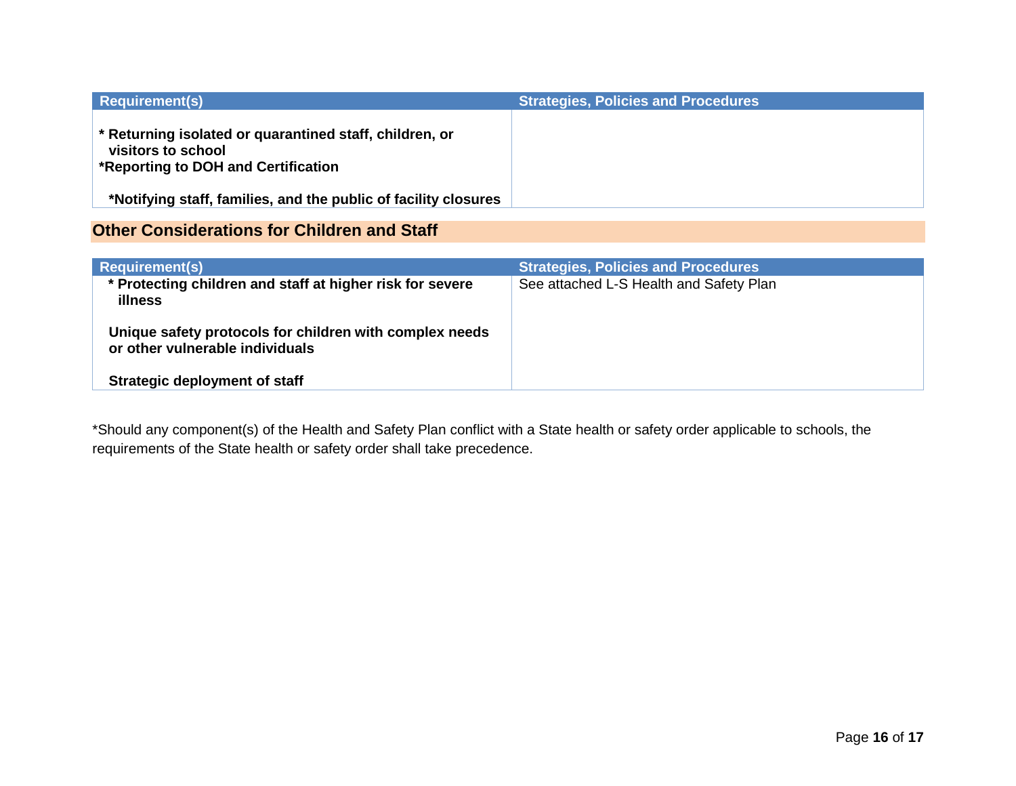| <b>Requirement(s)</b>                                                                                                | <b>Strategies, Policies and Procedures</b> |
|----------------------------------------------------------------------------------------------------------------------|--------------------------------------------|
| * Returning isolated or quarantined staff, children, or<br>visitors to school<br>*Reporting to DOH and Certification |                                            |
| *Notifying staff, families, and the public of facility closures                                                      |                                            |

# <span id="page-26-0"></span>**Other Considerations for Children and Staff**

| <b>Requirement(s)</b>                                                                      | <b>Strategies, Policies and Procedures</b> |
|--------------------------------------------------------------------------------------------|--------------------------------------------|
| * Protecting children and staff at higher risk for severe<br><b>illness</b>                | See attached L-S Health and Safety Plan    |
| Unique safety protocols for children with complex needs<br>or other vulnerable individuals |                                            |
| <b>Strategic deployment of staff</b>                                                       |                                            |

\*Should any component(s) of the Health and Safety Plan conflict with a State health or safety order applicable to schools, the requirements of the State health or safety order shall take precedence.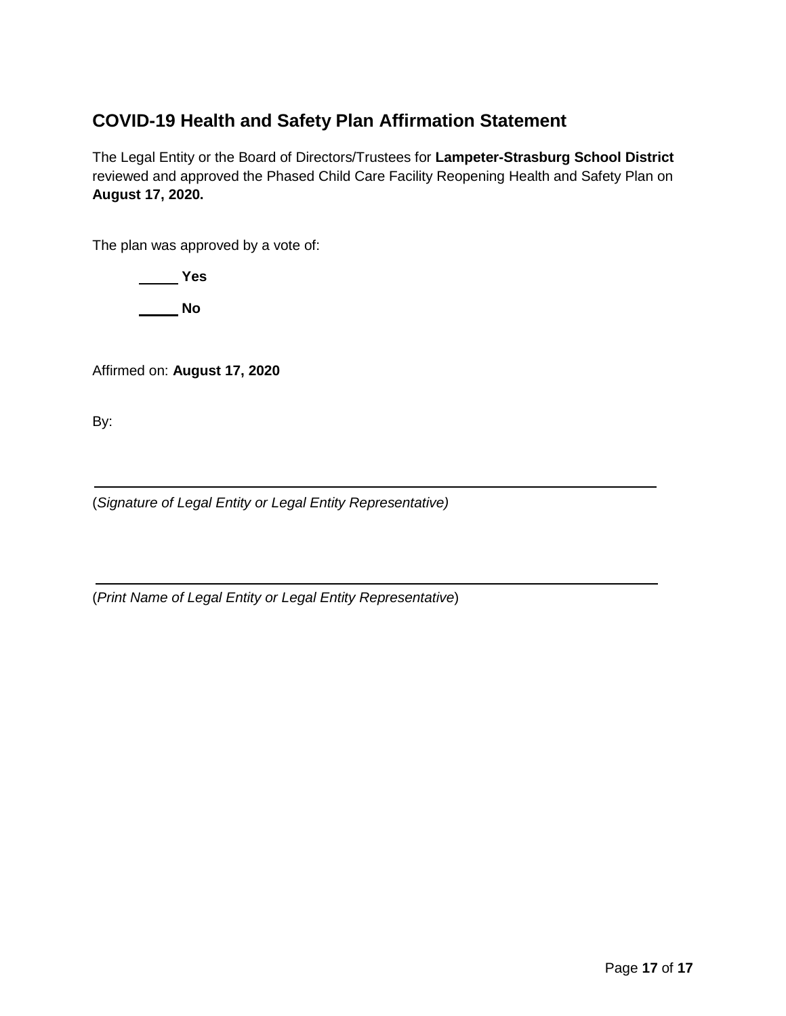# <span id="page-27-0"></span>**COVID-19 Health and Safety Plan Affirmation Statement**

The Legal Entity or the Board of Directors/Trustees for **Lampeter-Strasburg School District**  reviewed and approved the Phased Child Care Facility Reopening Health and Safety Plan on **August 17, 2020.**

The plan was approved by a vote of:

 **Yes No**

Affirmed on: **August 17, 2020**

By:

(*Signature of Legal Entity or Legal Entity Representative)*

(*Print Name of Legal Entity or Legal Entity Representative*)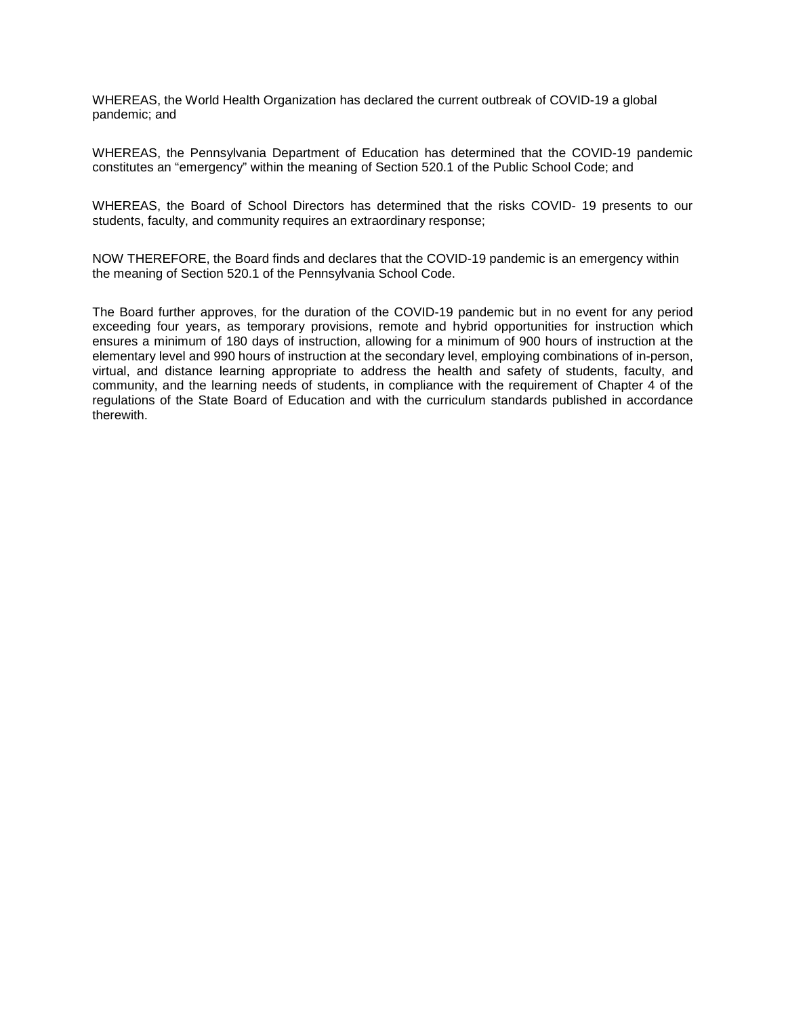WHEREAS, the World Health Organization has declared the current outbreak of COVID-19 a global pandemic; and

WHEREAS, the Pennsylvania Department of Education has determined that the COVID-19 pandemic constitutes an "emergency" within the meaning of Section 520.1 of the Public School Code; and

WHEREAS, the Board of School Directors has determined that the risks COVID- 19 presents to our students, faculty, and community requires an extraordinary response;

NOW THEREFORE, the Board finds and declares that the COVID-19 pandemic is an emergency within the meaning of Section 520.1 of the Pennsylvania School Code.

The Board further approves, for the duration of the COVID-19 pandemic but in no event for any period exceeding four years, as temporary provisions, remote and hybrid opportunities for instruction which ensures a minimum of 180 days of instruction, allowing for a minimum of 900 hours of instruction at the elementary level and 990 hours of instruction at the secondary level, employing combinations of in-person, virtual, and distance learning appropriate to address the health and safety of students, faculty, and community, and the learning needs of students, in compliance with the requirement of Chapter 4 of the regulations of the State Board of Education and with the curriculum standards published in accordance therewith.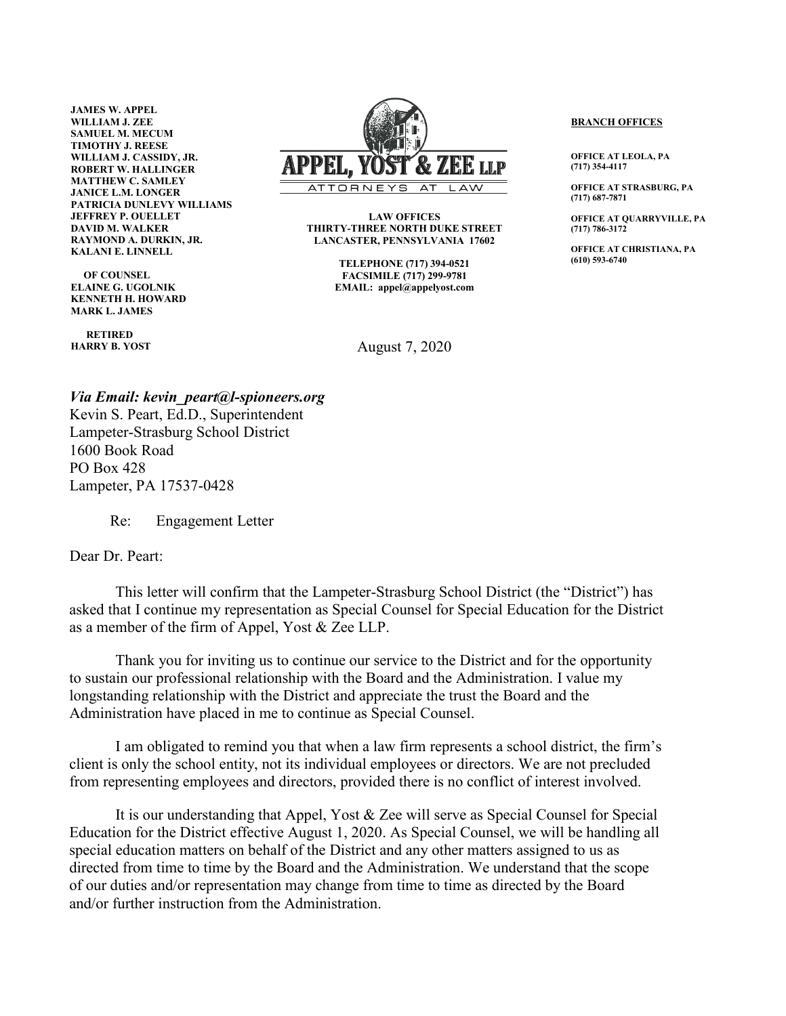**JAMES W. APPEL WILLIAM J. ZEE SAMUEL M. MECUM TIMOTHY J. REESE WILLIAM J. CASSIDY, JR. ROBERT W. HALLINGER MATTHEW C. SAMLEY JANICE L.M. LONGER PATRICIA DUNLEVY WILLIAMS JEFFREY P. OUELLET DAVID M. WALKER RAYMOND A. DURKIN, JR. KALANI E. LINNELL**

 **OF COUNSEL ELAINE G. UGOLNIK KENNETH H. HOWARD MARK L. JAMES**

 **RETIRED HARRY B. YOST**

 $I.I.P$ ATTORNE

> **LAW OFFICES THIRTY-THREE NORTH DUKE STREET LANCASTER, PENNSYLVANIA 17602**

> > **TELEPHONE (717) 394-0521 FACSIMILE (717) 299-9781 EMAIL: appel@appelyost.com**

> > > August 7, 2020

**BRANCH OFFICES**

**OFFICE AT LEOLA, PA (717) 354-4117**

**OFFICE AT STRASBURG, PA (717) 687-7871**

**OFFICE AT QUARRYVILLE, PA (717) 786-3172**

**OFFICE AT CHRISTIANA, PA (610) 593-6740**

*Via Email: kevin\_peart@l-spioneers.org* Kevin S. Peart, Ed.D., Superintendent Lampeter-Strasburg School District 1600 Book Road PO Box 428 Lampeter, PA 17537-0428

Re: Engagement Letter

### Dear Dr. Peart:

This letter will confirm that the Lampeter-Strasburg School District (the "District") has asked that I continue my representation as Special Counsel for Special Education for the District as a member of the firm of Appel, Yost & Zee LLP.

Thank you for inviting us to continue our service to the District and for the opportunity to sustain our professional relationship with the Board and the Administration. I value my longstanding relationship with the District and appreciate the trust the Board and the Administration have placed in me to continue as Special Counsel.

I am obligated to remind you that when a law firm represents a school district, the firm's client is only the school entity, not its individual employees or directors. We are not precluded from representing employees and directors, provided there is no conflict of interest involved.

It is our understanding that Appel, Yost & Zee will serve as Special Counsel for Special Education for the District effective August 1, 2020. As Special Counsel, we will be handling all special education matters on behalf of the District and any other matters assigned to us as directed from time to time by the Board and the Administration. We understand that the scope of our duties and/or representation may change from time to time as directed by the Board and/or further instruction from the Administration.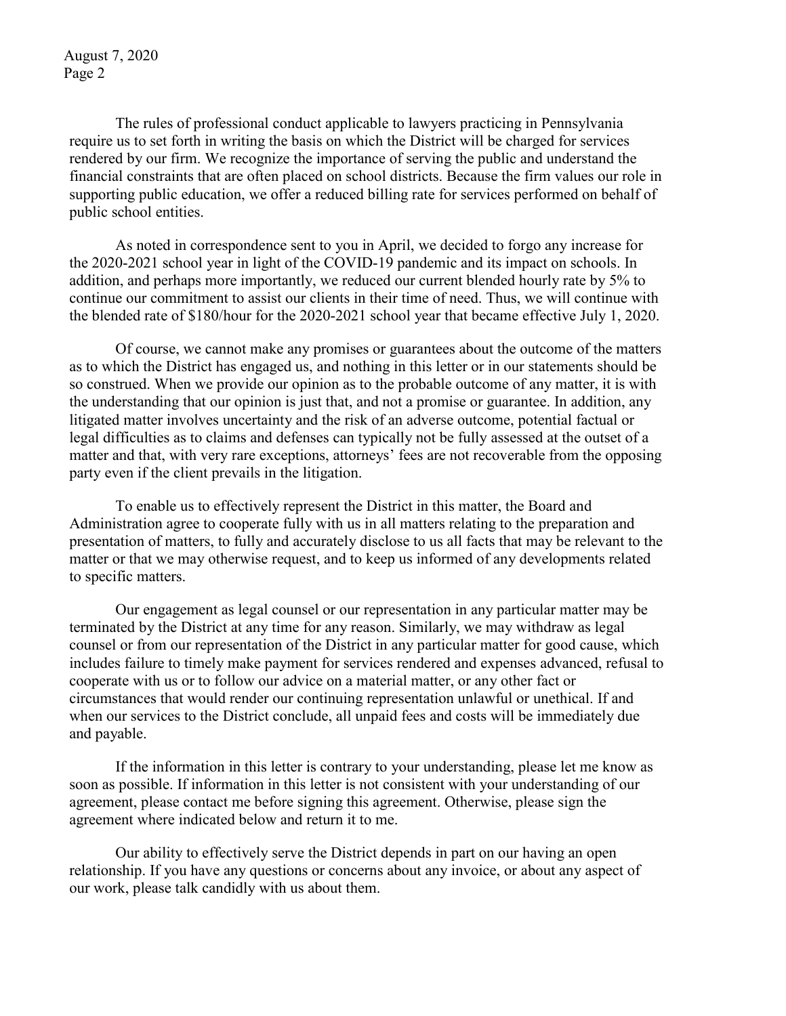August 7, 2020 Page 2

The rules of professional conduct applicable to lawyers practicing in Pennsylvania require us to set forth in writing the basis on which the District will be charged for services rendered by our firm. We recognize the importance of serving the public and understand the financial constraints that are often placed on school districts. Because the firm values our role in supporting public education, we offer a reduced billing rate for services performed on behalf of public school entities.

As noted in correspondence sent to you in April, we decided to forgo any increase for the 2020-2021 school year in light of the COVID-19 pandemic and its impact on schools. In addition, and perhaps more importantly, we reduced our current blended hourly rate by 5% to continue our commitment to assist our clients in their time of need. Thus, we will continue with the blended rate of \$180/hour for the 2020-2021 school year that became effective July 1, 2020.

Of course, we cannot make any promises or guarantees about the outcome of the matters as to which the District has engaged us, and nothing in this letter or in our statements should be so construed. When we provide our opinion as to the probable outcome of any matter, it is with the understanding that our opinion is just that, and not a promise or guarantee. In addition, any litigated matter involves uncertainty and the risk of an adverse outcome, potential factual or legal difficulties as to claims and defenses can typically not be fully assessed at the outset of a matter and that, with very rare exceptions, attorneys' fees are not recoverable from the opposing party even if the client prevails in the litigation.

To enable us to effectively represent the District in this matter, the Board and Administration agree to cooperate fully with us in all matters relating to the preparation and presentation of matters, to fully and accurately disclose to us all facts that may be relevant to the matter or that we may otherwise request, and to keep us informed of any developments related to specific matters.

Our engagement as legal counsel or our representation in any particular matter may be terminated by the District at any time for any reason. Similarly, we may withdraw as legal counsel or from our representation of the District in any particular matter for good cause, which includes failure to timely make payment for services rendered and expenses advanced, refusal to cooperate with us or to follow our advice on a material matter, or any other fact or circumstances that would render our continuing representation unlawful or unethical. If and when our services to the District conclude, all unpaid fees and costs will be immediately due and payable.

If the information in this letter is contrary to your understanding, please let me know as soon as possible. If information in this letter is not consistent with your understanding of our agreement, please contact me before signing this agreement. Otherwise, please sign the agreement where indicated below and return it to me.

Our ability to effectively serve the District depends in part on our having an open relationship. If you have any questions or concerns about any invoice, or about any aspect of our work, please talk candidly with us about them.